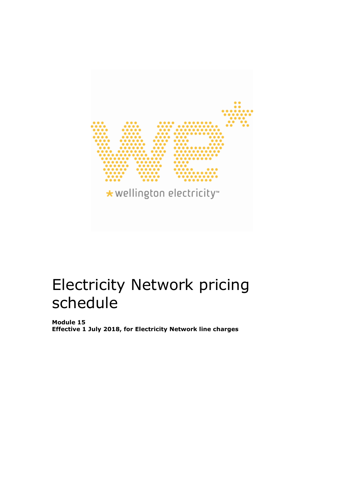

# Electricity Network pricing schedule

**Module 15 Effective 1 July 2018, for Electricity Network line charges**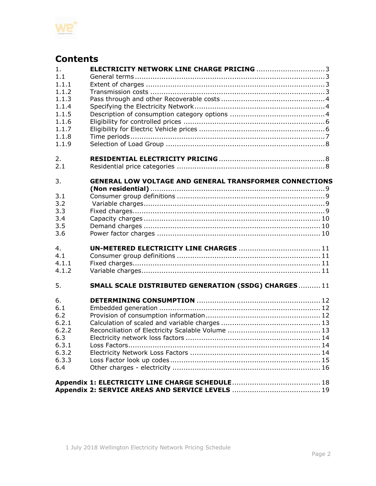

# **Contents**

| <b>ELECTRICITY NETWORK LINE CHARGE PRICING 3</b><br>1.               |  |
|----------------------------------------------------------------------|--|
| 1.1                                                                  |  |
| 1.1.1                                                                |  |
| 1.1.2                                                                |  |
| 1.1.3                                                                |  |
| 1.1.4                                                                |  |
| 1.1.5                                                                |  |
| 1.1.6                                                                |  |
| 1.1.7                                                                |  |
| 1.1.8                                                                |  |
| 1.1.9                                                                |  |
|                                                                      |  |
| 2.                                                                   |  |
| 2.1                                                                  |  |
|                                                                      |  |
| 3.<br><b>GENERAL LOW VOLTAGE AND GENERAL TRANSFORMER CONNECTIONS</b> |  |
|                                                                      |  |
| 3.1                                                                  |  |
| 3.2                                                                  |  |
| 3.3                                                                  |  |
| 3.4                                                                  |  |
| 3.5                                                                  |  |
| 3.6                                                                  |  |
|                                                                      |  |
| 4.<br>4.1                                                            |  |
|                                                                      |  |
| 4.1.1                                                                |  |
| 4.1.2                                                                |  |
| SMALL SCALE DISTRIBUTED GENERATION (SSDG) CHARGES11<br>5.            |  |
| 6.                                                                   |  |
| 6.1                                                                  |  |
| 6.2                                                                  |  |
| 6.2.1                                                                |  |
| 6.2.2                                                                |  |
| 6.3                                                                  |  |
|                                                                      |  |
| 6.3.1                                                                |  |
| 6.3.2                                                                |  |
|                                                                      |  |
| 6.3.3                                                                |  |
| 6.4                                                                  |  |
|                                                                      |  |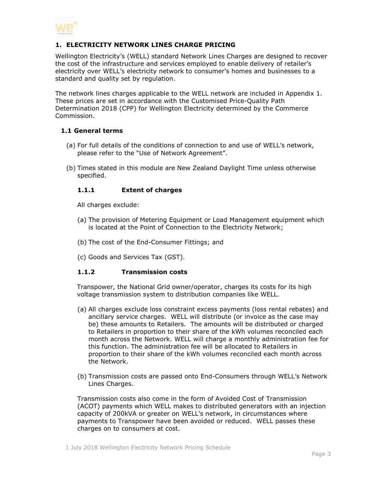

# <span id="page-2-0"></span>**1. ELECTRICITY NETWORK LINES CHARGE PRICING**

Wellington Electricity's (WELL) standard Network Lines Charges are designed to recover the cost of the infrastructure and services employed to enable delivery of retailer's electricity over WELL's electricity network to consumer's homes and businesses to a standard and quality set by regulation.

The network lines charges applicable to the WELL network are included in Appendix 1. These prices are set in accordance with the Customised Price-Quality Path Determination 2018 (CPP) for Wellington Electricity determined by the Commerce Commission.

# <span id="page-2-1"></span>**1.1 General terms**

- (a) For full details of the conditions of connection to and use of WELL's network, please refer to the "Use of Network Agreement".
- <span id="page-2-2"></span>(b) Times stated in this module are New Zealand Daylight Time unless otherwise specified.

# **1.1.1 Extent of charges**

All charges exclude:

- (a) The provision of Metering Equipment or Load Management equipment which is located at the Point of Connection to the Electricity Network;
- (b) The cost of the End-Consumer Fittings; and
- (c) Goods and Services Tax (GST).

#### <span id="page-2-3"></span>**1.1.2 Transmission costs**

Transpower, the National Grid owner/operator, charges its costs for its high voltage transmission system to distribution companies like WELL.

- (a) All charges exclude loss constraint excess payments (loss rental rebates) and ancillary service charges. WELL will distribute (or invoice as the case may be) these amounts to Retailers. The amounts will be distributed or charged to Retailers in proportion to their share of the kWh volumes reconciled each month across the Network. WELL will charge a monthly administration fee for this function. The administration fee will be allocated to Retailers in proportion to their share of the kWh volumes reconciled each month across the Network.
- (b) Transmission costs are passed onto End-Consumers through WELL's Network Lines Charges.

Transmission costs also come in the form of Avoided Cost of Transmission (ACOT) payments which WELL makes to distributed generators with an injection capacity of 200kVA or greater on WELL's network, in circumstances where payments to Transpower have been avoided or reduced. WELL passes these charges on to consumers at cost.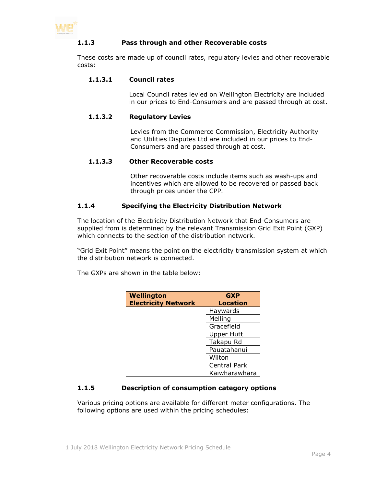<span id="page-3-0"></span>

# **1.1.3 Pass through and other Recoverable costs**

These costs are made up of council rates, regulatory levies and other recoverable costs:

### **1.1.3.1 Council rates**

Local Council rates levied on Wellington Electricity are included in our prices to End-Consumers and are passed through at cost.

#### **1.1.3.2 Regulatory Levies**

Levies from the Commerce Commission, Electricity Authority and Utilities Disputes Ltd are included in our prices to End-Consumers and are passed through at cost.

#### **1.1.3.3 Other Recoverable costs**

Other recoverable costs include items such as wash-ups and incentives which are allowed to be recovered or passed back through prices under the CPP.

#### <span id="page-3-1"></span>**1.1.4 Specifying the Electricity Distribution Network**

The location of the Electricity Distribution Network that End-Consumers are supplied from is determined by the relevant Transmission Grid Exit Point (GXP) which connects to the section of the distribution network.

"Grid Exit Point" means the point on the electricity transmission system at which the distribution network is connected.

The GXPs are shown in the table below:

| Wellington<br><b>Electricity Network</b> | <b>GXP</b><br><b>Location</b> |
|------------------------------------------|-------------------------------|
|                                          | Haywards                      |
|                                          | Melling                       |
|                                          | Gracefield                    |
|                                          | <b>Upper Hutt</b>             |
|                                          | Takapu Rd                     |
|                                          | Pauatahanui                   |
|                                          | Wilton                        |
|                                          | Central Park                  |
|                                          | Kaiwharawhara                 |

#### <span id="page-3-2"></span>**1.1.5 Description of consumption category options**

Various pricing options are available for different meter configurations. The following options are used within the pricing schedules: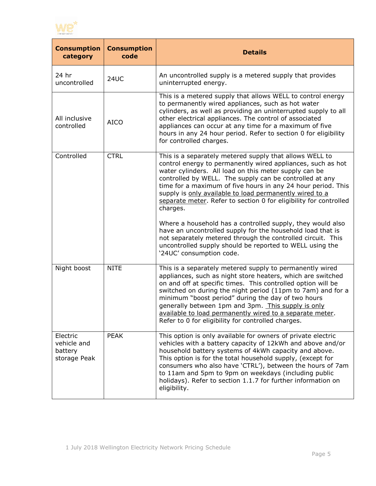

| <b>Consumption</b><br>category                     | <b>Consumption</b><br>code | <b>Details</b>                                                                                                                                                                                                                                                                                                                                                                                                                                                                       |
|----------------------------------------------------|----------------------------|--------------------------------------------------------------------------------------------------------------------------------------------------------------------------------------------------------------------------------------------------------------------------------------------------------------------------------------------------------------------------------------------------------------------------------------------------------------------------------------|
| 24 hr<br>uncontrolled                              | <b>24UC</b>                | An uncontrolled supply is a metered supply that provides<br>uninterrupted energy.                                                                                                                                                                                                                                                                                                                                                                                                    |
| All inclusive<br>controlled                        | <b>AICO</b>                | This is a metered supply that allows WELL to control energy<br>to permanently wired appliances, such as hot water<br>cylinders, as well as providing an uninterrupted supply to all<br>other electrical appliances. The control of associated<br>appliances can occur at any time for a maximum of five<br>hours in any 24 hour period. Refer to section 0 for eligibility<br>for controlled charges.                                                                                |
| Controlled                                         | <b>CTRL</b>                | This is a separately metered supply that allows WELL to<br>control energy to permanently wired appliances, such as hot<br>water cylinders. All load on this meter supply can be<br>controlled by WELL. The supply can be controlled at any<br>time for a maximum of five hours in any 24 hour period. This<br>supply is only available to load permanently wired to a<br>separate meter. Refer to section 0 for eligibility for controlled<br>charges.                               |
|                                                    |                            | Where a household has a controlled supply, they would also<br>have an uncontrolled supply for the household load that is<br>not separately metered through the controlled circuit. This<br>uncontrolled supply should be reported to WELL using the<br>'24UC' consumption code.                                                                                                                                                                                                      |
| Night boost                                        | <b>NITE</b>                | This is a separately metered supply to permanently wired<br>appliances, such as night store heaters, which are switched<br>on and off at specific times. This controlled option will be<br>switched on during the night period (11pm to 7am) and for a<br>minimum "boost period" during the day of two hours<br>generally between 1pm and 3pm. This supply is only<br>available to load permanently wired to a separate meter.<br>Refer to 0 for eligibility for controlled charges. |
| Electric<br>vehicle and<br>battery<br>storage Peak | <b>PEAK</b>                | This option is only available for owners of private electric<br>vehicles with a battery capacity of 12kWh and above and/or<br>household battery systems of 4kWh capacity and above.<br>This option is for the total household supply, (except for<br>consumers who also have 'CTRL'), between the hours of 7am<br>to 11am and 5pm to 9pm on weekdays (including public<br>holidays). Refer to section 1.1.7 for further information on<br>eligibility.                               |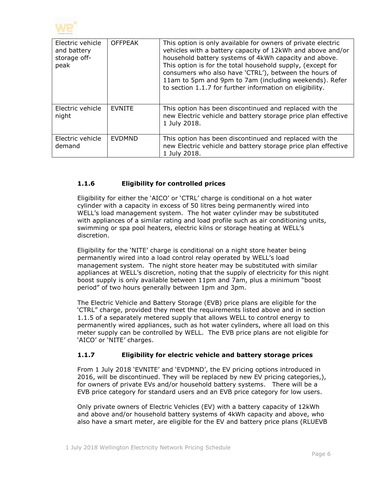

| Electric vehicle<br>and battery<br>storage off-<br>peak | <b>OFFPEAK</b> | This option is only available for owners of private electric<br>vehicles with a battery capacity of 12kWh and above and/or<br>household battery systems of 4kWh capacity and above.<br>This option is for the total household supply, (except for<br>consumers who also have 'CTRL'), between the hours of<br>11am to 5pm and 9pm to 7am (including weekends). Refer<br>to section 1.1.7 for further information on eligibility. |
|---------------------------------------------------------|----------------|----------------------------------------------------------------------------------------------------------------------------------------------------------------------------------------------------------------------------------------------------------------------------------------------------------------------------------------------------------------------------------------------------------------------------------|
| Electric vehicle<br>night                               | <b>EVNITE</b>  | This option has been discontinued and replaced with the<br>new Electric vehicle and battery storage price plan effective<br>1 July 2018.                                                                                                                                                                                                                                                                                         |
| Electric vehicle<br>demand                              | <b>EVDMND</b>  | This option has been discontinued and replaced with the<br>new Electric vehicle and battery storage price plan effective<br>1 July 2018.                                                                                                                                                                                                                                                                                         |

# <span id="page-5-0"></span>**1.1.6 Eligibility for controlled prices**

Eligibility for either the 'AICO' or 'CTRL' charge is conditional on a hot water cylinder with a capacity in excess of 50 litres being permanently wired into WELL's load management system. The hot water cylinder may be substituted with appliances of a similar rating and load profile such as air conditioning units, swimming or spa pool heaters, electric kilns or storage heating at WELL's discretion.

Eligibility for the 'NITE' charge is conditional on a night store heater being permanently wired into a load control relay operated by WELL's load management system. The night store heater may be substituted with similar appliances at WELL's discretion, noting that the supply of electricity for this night boost supply is only available between 11pm and 7am, plus a minimum "boost period" of two hours generally between 1pm and 3pm.

The Electric Vehicle and Battery Storage (EVB) price plans are eligible for the 'CTRL" charge, provided they meet the requirements listed above and in section 1.1.5 of a separately metered supply that allows WELL to control energy to permanently wired appliances, such as hot water cylinders, where all load on this meter supply can be controlled by WELL. The EVB price plans are not eligible for 'AICO' or 'NITE' charges.

# <span id="page-5-1"></span>**1.1.7 Eligibility for electric vehicle and battery storage prices**

From 1 July 2018 'EVNITE' and 'EVDMND', the EV pricing options introduced in 2016, will be discontinued. They will be replaced by new EV pricing categories,), for owners of private EVs and/or household battery systems. There will be a EVB price category for standard users and an EVB price category for low users.

Only private owners of Electric Vehicles (EV) with a battery capacity of 12kWh and above and/or household battery systems of 4kWh capacity and above, who also have a smart meter, are eligible for the EV and battery price plans (RLUEVB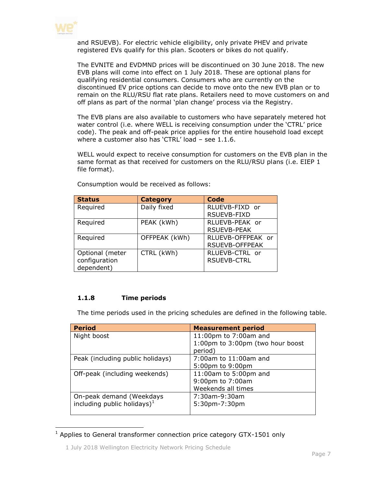

and RSUEVB). For electric vehicle eligibility, only private PHEV and private registered EVs qualify for this plan. Scooters or bikes do not qualify.

The EVNITE and EVDMND prices will be discontinued on 30 June 2018. The new EVB plans will come into effect on 1 July 2018. These are optional plans for qualifying residential consumers. Consumers who are currently on the discontinued EV price options can decide to move onto the new EVB plan or to remain on the RLU/RSU flat rate plans. Retailers need to move customers on and off plans as part of the normal 'plan change' process via the Registry.

The EVB plans are also available to customers who have separately metered hot water control (i.e. where WELL is receiving consumption under the 'CTRL' price code). The peak and off-peak price applies for the entire household load except where a customer also has 'CTRL' load – see 1.1.6.

WELL would expect to receive consumption for customers on the EVB plan in the same format as that received for customers on the RLU/RSU plans (i.e. EIEP 1 file format).

| <b>Status</b>   | <b>Category</b> | Code                  |
|-----------------|-----------------|-----------------------|
| Required        | Daily fixed     | RLUEVB-FIXD or        |
|                 |                 | <b>RSUEVB-FIXD</b>    |
| Required        | PEAK (kWh)      | RLUEVB-PEAK or        |
|                 |                 | <b>RSUEVB-PEAK</b>    |
| Required        | OFFPEAK (kWh)   | RLUEVB-OFFPEAK or     |
|                 |                 | <b>RSUEVB-OFFPEAK</b> |
| Optional (meter | CTRL (kWh)      | RLUEVB-CTRL or        |
| configuration   |                 | <b>RSUEVB-CTRL</b>    |
| dependent)      |                 |                       |

Consumption would be received as follows:

### <span id="page-6-0"></span>**1.1.8 Time periods**

The time periods used in the pricing schedules are defined in the following table.

| <b>Period</b>                    | <b>Measurement period</b>        |
|----------------------------------|----------------------------------|
| Night boost                      | 11:00pm to 7:00am and            |
|                                  | 1:00pm to 3:00pm (two hour boost |
|                                  | period)                          |
| Peak (including public holidays) | 7:00am to 11:00am and            |
|                                  | 5:00pm to 9:00pm                 |
| Off-peak (including weekends)    | 11:00am to 5:00pm and            |
|                                  | 9:00pm to 7:00am                 |
|                                  | Weekends all times               |
| On-peak demand (Weekdays         | 7:30am-9:30am                    |
| including public holidays) $1$   | 5:30pm-7:30pm                    |
|                                  |                                  |

 $1$  Applies to General transformer connection price category GTX-1501 only

<sup>1</sup> July 2018 Wellington Electricity Network Pricing Schedule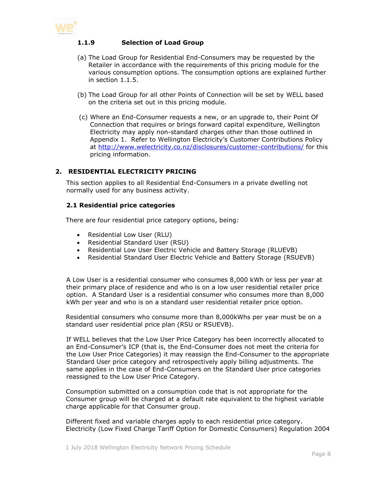<span id="page-7-0"></span>

# **1.1.9 Selection of Load Group**

- (a) The Load Group for Residential End-Consumers may be requested by the Retailer in accordance with the requirements of this pricing module for the various consumption options. The consumption options are explained further in section 1.1.5.
- (b) The Load Group for all other Points of Connection will be set by WELL based on the criteria set out in this pricing module.
- (c) Where an End-Consumer requests a new, or an upgrade to, their Point Of Connection that requires or brings forward capital expenditure, Wellington Electricity may apply non-standard charges other than those outlined in Appendix 1. Refer to Wellington Electricity's Customer Contributions Policy at <http://www.welectricity.co.nz/disclosures/customer-contributions/> for this pricing information.

# <span id="page-7-1"></span>**2. RESIDENTIAL ELECTRICITY PRICING**

This section applies to all Residential End-Consumers in a private dwelling not normally used for any business activity.

#### <span id="page-7-2"></span>**2.1 Residential price categories**

There are four residential price category options, being:

- Residential Low User (RLU)
- Residential Standard User (RSU)
- Residential Low User Electric Vehicle and Battery Storage (RLUEVB)
- Residential Standard User Electric Vehicle and Battery Storage (RSUEVB)

A Low User is a residential consumer who consumes 8,000 kWh or less per year at their primary place of residence and who is on a low user residential retailer price option. A Standard User is a residential consumer who consumes more than 8,000 kWh per year and who is on a standard user residential retailer price option.

Residential consumers who consume more than 8,000kWhs per year must be on a standard user residential price plan (RSU or RSUEVB).

If WELL believes that the Low User Price Category has been incorrectly allocated to an End-Consumer's ICP (that is, the End-Consumer does not meet the criteria for the Low User Price Categories) it may reassign the End-Consumer to the appropriate Standard User price category and retrospectively apply billing adjustments. The same applies in the case of End-Consumers on the Standard User price categories reassigned to the Low User Price Category.

Consumption submitted on a consumption code that is not appropriate for the Consumer group will be charged at a default rate equivalent to the highest variable charge applicable for that Consumer group.

Different fixed and variable charges apply to each residential price category. Electricity (Low Fixed Charge Tariff Option for Domestic Consumers) Regulation 2004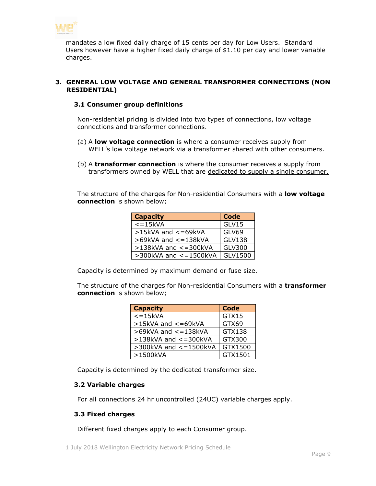

mandates a low fixed daily charge of 15 cents per day for Low Users. Standard Users however have a higher fixed daily charge of \$1.10 per day and lower variable charges.

# <span id="page-8-1"></span><span id="page-8-0"></span>**3. GENERAL LOW VOLTAGE AND GENERAL TRANSFORMER CONNECTIONS (NON RESIDENTIAL)**

### **3.1 Consumer group definitions**

Non-residential pricing is divided into two types of connections, low voltage connections and transformer connections.

- (a) A **low voltage connection** is where a consumer receives supply from WELL's low voltage network via a transformer shared with other consumers.
- (b) A **transformer connection** is where the consumer receives a supply from transformers owned by WELL that are dedicated to supply a single consumer.

The structure of the charges for Non-residential Consumers with a **low voltage connection** is shown below;

| <b>Capacity</b>              | <b>Code</b>   |
|------------------------------|---------------|
| $\epsilon$ =15kVA            | GLV15         |
| $>15$ kVA and $<=69$ kVA     | <b>GLV69</b>  |
| >69kVA and <= 138kVA         | <b>GLV138</b> |
| $>138$ kVA and $<=300$ kVA   | GLV300        |
| $>$ 300kVA and $<$ = 1500kVA | GLV1500       |

Capacity is determined by maximum demand or fuse size.

The structure of the charges for Non-residential Consumers with a **transformer connection** is shown below;

| <b>Capacity</b>              | <b>Code</b> |
|------------------------------|-------------|
| $\epsilon = 15$ kVA          | GTX15       |
| $>15kVA$ and $<=69kVA$       | GTX69       |
| $>69$ kVA and $<=138$ kVA    | GTX138      |
| $>138$ kVA and $<=300$ kVA   | GTX300      |
| $>$ 300kVA and $<$ = 1500kVA | GTX1500     |
| >1500kVA                     | GTX1501     |

Capacity is determined by the dedicated transformer size.

# <span id="page-8-2"></span>**3.2 Variable charges**

For all connections 24 hr uncontrolled (24UC) variable charges apply.

#### <span id="page-8-3"></span>**3.3 Fixed charges**

Different fixed charges apply to each Consumer group.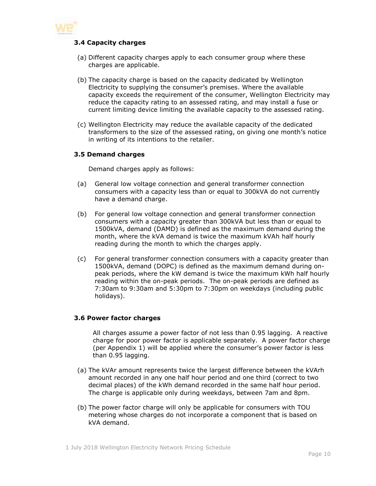<span id="page-9-0"></span>

# **3.4 Capacity charges**

- (a) Different capacity charges apply to each consumer group where these charges are applicable.
- (b) The capacity charge is based on the capacity dedicated by Wellington Electricity to supplying the consumer's premises. Where the available capacity exceeds the requirement of the consumer, Wellington Electricity may reduce the capacity rating to an assessed rating, and may install a fuse or current limiting device limiting the available capacity to the assessed rating.
- (c) Wellington Electricity may reduce the available capacity of the dedicated transformers to the size of the assessed rating, on giving one month's notice in writing of its intentions to the retailer.

#### <span id="page-9-1"></span>**3.5 Demand charges**

Demand charges apply as follows:

- (a) General low voltage connection and general transformer connection consumers with a capacity less than or equal to 300kVA do not currently have a demand charge.
- (b) For general low voltage connection and general transformer connection consumers with a capacity greater than 300kVA but less than or equal to 1500kVA, demand (DAMD) is defined as the maximum demand during the month, where the kVA demand is twice the maximum kVAh half hourly reading during the month to which the charges apply.
- (c) For general transformer connection consumers with a capacity greater than 1500kVA, demand (DOPC) is defined as the maximum demand during onpeak periods, where the kW demand is twice the maximum kWh half hourly reading within the on-peak periods. The on-peak periods are defined as 7:30am to 9:30am and 5:30pm to 7:30pm on weekdays (including public holidays).

#### <span id="page-9-2"></span>**3.6 Power factor charges**

All charges assume a power factor of not less than 0.95 lagging. A reactive charge for poor power factor is applicable separately. A power factor charge (per Appendix 1) will be applied where the consumer's power factor is less than 0.95 lagging.

- (a) The kVAr amount represents twice the largest difference between the kVArh amount recorded in any one half hour period and one third (correct to two decimal places) of the kWh demand recorded in the same half hour period. The charge is applicable only during weekdays, between 7am and 8pm.
- (b) The power factor charge will only be applicable for consumers with TOU metering whose charges do not incorporate a component that is based on kVA demand.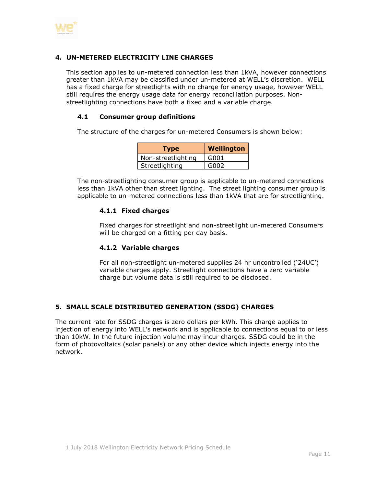

# <span id="page-10-0"></span>**4. UN-METERED ELECTRICITY LINE CHARGES**

This section applies to un-metered connection less than 1kVA, however connections greater than 1kVA may be classified under un-metered at WELL's discretion. WELL has a fixed charge for streetlights with no charge for energy usage, however WELL still requires the energy usage data for energy reconciliation purposes. Nonstreetlighting connections have both a fixed and a variable charge.

# <span id="page-10-1"></span>**4.1 Consumer group definitions**

The structure of the charges for un-metered Consumers is shown below:

| <b>Type</b>        | <b>Wellington</b> |
|--------------------|-------------------|
| Non-streetlighting | G001              |
| Streetlighting     | G002              |

<span id="page-10-2"></span>The non-streetlighting consumer group is applicable to un-metered connections less than 1kVA other than street lighting. The street lighting consumer group is applicable to un-metered connections less than 1kVA that are for streetlighting.

# **4.1.1 Fixed charges**

Fixed charges for streetlight and non-streetlight un-metered Consumers will be charged on a fitting per day basis.

#### <span id="page-10-3"></span>**4.1.2 Variable charges**

For all non-streetlight un-metered supplies 24 hr uncontrolled ('24UC') variable charges apply. Streetlight connections have a zero variable charge but volume data is still required to be disclosed.

# <span id="page-10-4"></span>**5. SMALL SCALE DISTRIBUTED GENERATION (SSDG) CHARGES**

<span id="page-10-5"></span>The current rate for SSDG charges is zero dollars per kWh. This charge applies to injection of energy into WELL's network and is applicable to connections equal to or less than 10kW. In the future injection volume may incur charges. SSDG could be in the form of photovoltaics (solar panels) or any other device which injects energy into the network.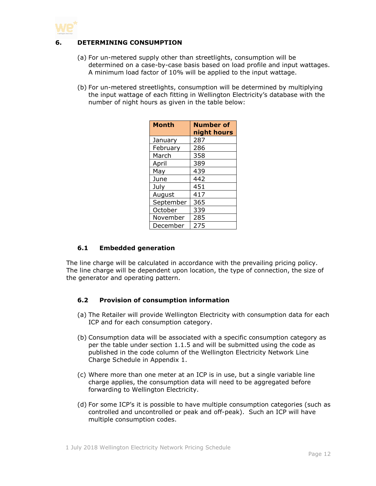

# **6. DETERMINING CONSUMPTION**

- (a) For un-metered supply other than streetlights, consumption will be determined on a case-by-case basis based on load profile and input wattages. A minimum load factor of 10% will be applied to the input wattage.
- (b) For un-metered streetlights, consumption will be determined by multiplying the input wattage of each fitting in Wellington Electricity's database with the number of night hours as given in the table below:

| <b>Month</b> | <b>Number of</b><br>night hours |
|--------------|---------------------------------|
| January      | 287                             |
| February     | 286                             |
| March        | 358                             |
| April        | 389                             |
| May          | 439                             |
| June         | 442                             |
| July         | 451                             |
| August       | 417                             |
| September    | 365                             |
| October      | 339                             |
| November     | 285                             |
| December     | 275                             |

# <span id="page-11-0"></span>**6.1 Embedded generation**

The line charge will be calculated in accordance with the prevailing pricing policy. The line charge will be dependent upon location, the type of connection, the size of the generator and operating pattern.

#### <span id="page-11-1"></span>**6.2 Provision of consumption information**

- (a) The Retailer will provide Wellington Electricity with consumption data for each ICP and for each consumption category.
- (b) Consumption data will be associated with a specific consumption category as per the table under section 1.1.5 and will be submitted using the code as published in the code column of the Wellington Electricity Network Line Charge Schedule in Appendix 1.
- (c) Where more than one meter at an ICP is in use, but a single variable line charge applies, the consumption data will need to be aggregated before forwarding to Wellington Electricity.
- (d) For some ICP's it is possible to have multiple consumption categories (such as controlled and uncontrolled or peak and off-peak). Such an ICP will have multiple consumption codes.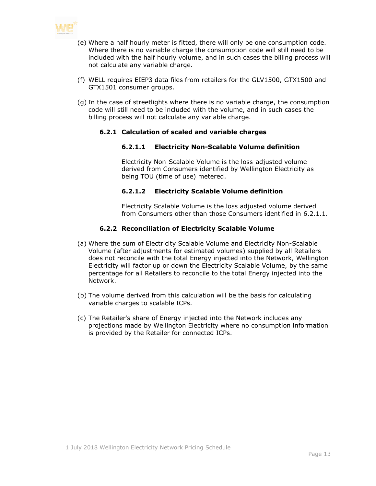

- (e) Where a half hourly meter is fitted, there will only be one consumption code. Where there is no variable charge the consumption code will still need to be included with the half hourly volume, and in such cases the billing process will not calculate any variable charge.
- (f) WELL requires EIEP3 data files from retailers for the GLV1500, GTX1500 and GTX1501 consumer groups.
- <span id="page-12-0"></span>(g) In the case of streetlights where there is no variable charge, the consumption code will still need to be included with the volume, and in such cases the billing process will not calculate any variable charge.

#### **6.2.1 Calculation of scaled and variable charges**

#### **6.2.1.1 Electricity Non-Scalable Volume definition**

Electricity Non-Scalable Volume is the loss-adjusted volume derived from Consumers identified by Wellington Electricity as being TOU (time of use) metered.

#### **6.2.1.2 Electricity Scalable Volume definition**

Electricity Scalable Volume is the loss adjusted volume derived from Consumers other than those Consumers identified in 6.2.1.1.

# **6.2.2 Reconciliation of Electricity Scalable Volume**

- <span id="page-12-1"></span>(a) Where the sum of Electricity Scalable Volume and Electricity Non-Scalable Volume (after adjustments for estimated volumes) supplied by all Retailers does not reconcile with the total Energy injected into the Network, Wellington Electricity will factor up or down the Electricity Scalable Volume, by the same percentage for all Retailers to reconcile to the total Energy injected into the Network.
- (b) The volume derived from this calculation will be the basis for calculating variable charges to scalable ICPs.
- (c) The Retailer's share of Energy injected into the Network includes any projections made by Wellington Electricity where no consumption information is provided by the Retailer for connected ICPs.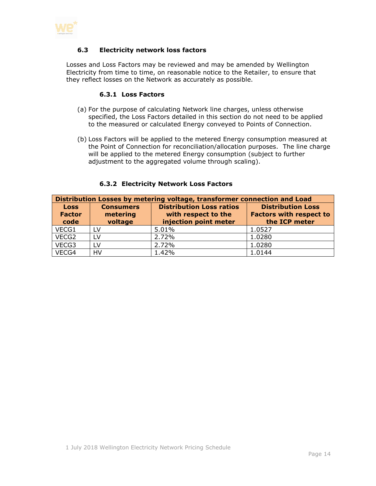<span id="page-13-0"></span>

# **6.3 Electricity network loss factors**

<span id="page-13-1"></span>Losses and Loss Factors may be reviewed and may be amended by Wellington Electricity from time to time, on reasonable notice to the Retailer, to ensure that they reflect losses on the Network as accurately as possible.

#### **6.3.1 Loss Factors**

- (a) For the purpose of calculating Network line charges, unless otherwise specified, the Loss Factors detailed in this section do not need to be applied to the measured or calculated Energy conveyed to Points of Connection.
- (b) Loss Factors will be applied to the metered Energy consumption measured at the Point of Connection for reconciliation/allocation purposes. The line charge will be applied to the metered Energy consumption (subject to further adjustment to the aggregated volume through scaling).

<span id="page-13-2"></span>

| Distribution Losses by metering voltage, transformer connection and Load |                                         |                                                                                 |                                                                             |
|--------------------------------------------------------------------------|-----------------------------------------|---------------------------------------------------------------------------------|-----------------------------------------------------------------------------|
| <b>Loss</b><br><b>Factor</b><br>code                                     | <b>Consumers</b><br>metering<br>voltage | <b>Distribution Loss ratios</b><br>with respect to the<br>injection point meter | <b>Distribution Loss</b><br><b>Factors with respect to</b><br>the ICP meter |
| VECG1                                                                    | LV.                                     | 5.01%                                                                           | 1.0527                                                                      |
| VECG2                                                                    | LV                                      | 2.72%                                                                           | 1.0280                                                                      |
| VECG3                                                                    | <b>LV</b>                               | 2.72%                                                                           | 1.0280                                                                      |
| VECG4                                                                    | <b>HV</b>                               | 1.42%                                                                           | 1.0144                                                                      |

#### **6.3.2 Electricity Network Loss Factors**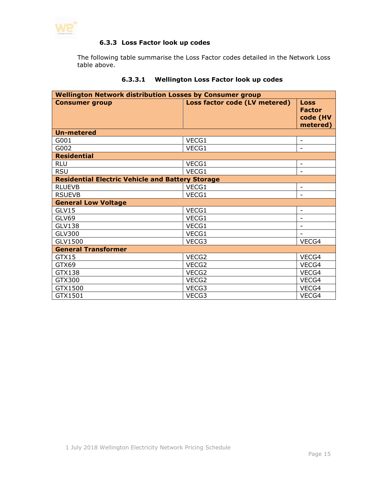<span id="page-14-0"></span>

# **6.3.3 Loss Factor look up codes**

The following table summarise the Loss Factor codes detailed in the Network Loss table above.

| <b>Wellington Network distribution Losses by Consumer group</b> |                               |                                                      |  |
|-----------------------------------------------------------------|-------------------------------|------------------------------------------------------|--|
| <b>Consumer group</b>                                           | Loss factor code (LV metered) | <b>Loss</b><br><b>Factor</b><br>code (HV<br>metered) |  |
| <b>Un-metered</b>                                               |                               |                                                      |  |
| G001                                                            | VECG1                         | $\overline{\phantom{a}}$                             |  |
| G002                                                            | VECG1                         |                                                      |  |
| <b>Residential</b>                                              |                               |                                                      |  |
| <b>RLU</b>                                                      | VECG1                         |                                                      |  |
| <b>RSU</b>                                                      | VECG1                         | $\overline{\phantom{a}}$                             |  |
| <b>Residential Electric Vehicle and Battery Storage</b>         |                               |                                                      |  |
| <b>RLUEVB</b>                                                   | VECG1                         |                                                      |  |
| <b>RSUEVB</b>                                                   | VECG1                         |                                                      |  |
| <b>General Low Voltage</b>                                      |                               |                                                      |  |
| GLV15                                                           | VECG1                         | -                                                    |  |
| GLV69                                                           | VECG1                         |                                                      |  |
| <b>GLV138</b>                                                   | VECG1                         |                                                      |  |
| <b>GLV300</b>                                                   | VECG1                         |                                                      |  |
| GLV1500                                                         | VECG3                         | VECG4                                                |  |
| <b>General Transformer</b>                                      |                               |                                                      |  |
| GTX15                                                           | VECG2                         | VECG4                                                |  |
| GTX69                                                           | VECG2                         | VECG4                                                |  |
| GTX138                                                          | VECG2                         | VECG4                                                |  |
| GTX300                                                          | VECG2                         | VECG4                                                |  |
| GTX1500                                                         | VECG3                         | VECG4                                                |  |
| GTX1501                                                         | VECG3                         | VECG4                                                |  |

# **6.3.3.1 Wellington Loss Factor look up codes**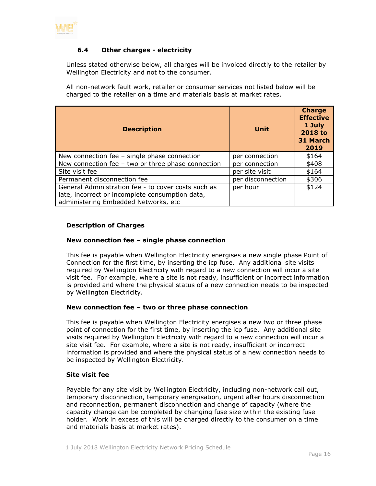

# <span id="page-15-0"></span>**6.4 Other charges - electricity**

Unless stated otherwise below, all charges will be invoiced directly to the retailer by Wellington Electricity and not to the consumer.

All non-network fault work, retailer or consumer services not listed below will be charged to the retailer on a time and materials basis at market rates.

| <b>Description</b>                                                                                                                             | Unit              | <b>Charge</b><br><b>Effective</b><br>1 July<br>2018 to<br>31 March<br>2019 |
|------------------------------------------------------------------------------------------------------------------------------------------------|-------------------|----------------------------------------------------------------------------|
| New connection fee $-$ single phase connection                                                                                                 | per connection    | \$164                                                                      |
| New connection fee $-$ two or three phase connection                                                                                           | per connection    | \$408                                                                      |
| Site visit fee                                                                                                                                 | per site visit    | \$164                                                                      |
| Permanent disconnection fee                                                                                                                    | per disconnection | \$306                                                                      |
| General Administration fee - to cover costs such as<br>late, incorrect or incomplete consumption data,<br>administering Embedded Networks, etc | per hour          | \$124                                                                      |

#### **Description of Charges**

#### **New connection fee – single phase connection**

This fee is payable when Wellington Electricity energises a new single phase Point of Connection for the first time, by inserting the icp fuse. Any additional site visits required by Wellington Electricity with regard to a new connection will incur a site visit fee. For example, where a site is not ready, insufficient or incorrect information is provided and where the physical status of a new connection needs to be inspected by Wellington Electricity.

#### **New connection fee – two or three phase connection**

This fee is payable when Wellington Electricity energises a new two or three phase point of connection for the first time, by inserting the icp fuse. Any additional site visits required by Wellington Electricity with regard to a new connection will incur a site visit fee. For example, where a site is not ready, insufficient or incorrect information is provided and where the physical status of a new connection needs to be inspected by Wellington Electricity.

#### **Site visit fee**

Payable for any site visit by Wellington Electricity, including non-network call out, temporary disconnection, temporary energisation, urgent after hours disconnection and reconnection, permanent disconnection and change of capacity (where the capacity change can be completed by changing fuse size within the existing fuse holder. Work in excess of this will be charged directly to the consumer on a time and materials basis at market rates).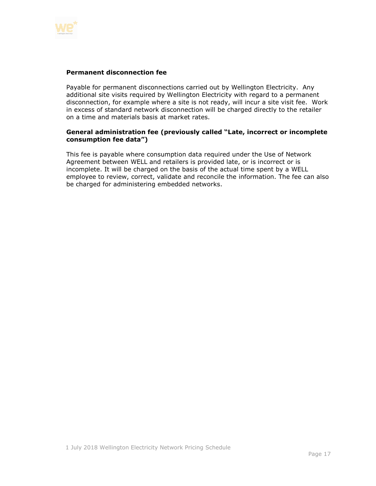

#### **Permanent disconnection fee**

Payable for permanent disconnections carried out by Wellington Electricity. Any additional site visits required by Wellington Electricity with regard to a permanent disconnection, for example where a site is not ready, will incur a site visit fee. Work in excess of standard network disconnection will be charged directly to the retailer on a time and materials basis at market rates.

#### **General administration fee (previously called "Late, incorrect or incomplete consumption fee data")**

This fee is payable where consumption data required under the Use of Network Agreement between WELL and retailers is provided late, or is incorrect or is incomplete. It will be charged on the basis of the actual time spent by a WELL employee to review, correct, validate and reconcile the information. The fee can also be charged for administering embedded networks.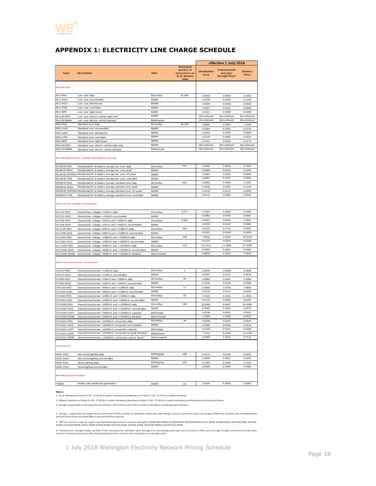

# <span id="page-17-0"></span>**APPENDIX 1: ELECTRICITY LINE CHARGE SCHEDULE**

| <b>Estimated</b><br>number of<br><b>Transmission</b><br><b>Distribution</b><br>Code<br><b>Description</b><br><b>Units</b><br>consumers as<br>and pass<br>price<br>at 31 January<br>through Price<br>2018<br><b>Residential</b><br><b>RLU-FIXD</b><br>Low user daily<br>\$/con/day<br>91.683<br>0.0900<br>0.0600<br>RLU-24UC<br>\$/kWh<br>Low user uncontrolled<br>0.0740<br>0.0418<br><b>RLU-AICO</b><br>Low user all inclusive<br>\$/kWh<br>0.0594<br>0.0335<br><b>RLU-CTRL</b><br>\$/kWh<br>Low user controlled<br>0.0357<br>0.0201<br><b>RLU-NITE</b><br>Low user night boost<br>\$/kWh<br>0.0121<br>0.0068<br>\$/kWh<br>discontinued<br><b>RLU-EVNITE</b><br>discontinued<br>Low user electric vehicle night only<br>discontinued<br>discontinued<br><b>RLU-EVDMND</b><br>\$/kW/month<br>Low user electric vehicle demand<br><b>RSU-FIXD</b><br>Standard user daily<br>\$/con/day<br>58,230<br>0.6600<br>0.4400<br>RSU-24UC<br>Standard user uncontrolled<br>\$/kWh<br>0.0463<br>0.0262<br>\$/kWh<br>0.0319<br>0.0180<br>RSU-AICO<br>Standard user all inclusive<br>\$/kWh<br><b>RSU-CTRL</b><br>Standard user controlled<br>0.0142<br>0.0080<br>\$/kWh<br>0.0111<br>0.0062<br><b>RSU-NITE</b><br>Standard user night boost<br>\$/kWh<br>discontinued<br>discontinued<br><b>RSU-EVNITE</b><br>Standard user electric vehicle night only<br>RSU-EVDMND<br>\$/kW/month<br>discontinued<br>discontinued<br>Standard user electric vehicle demand<br>Residential electric vehicle and battery storage<br>new<br>0.0600<br>0.0900<br>RLUEVB-FIXD<br>Residential EV & battery storage low user daily<br>\$/con/day<br>0.0858<br>0.0678<br>RLUEVB-PEAK<br>Residential EV & battery storage low user peak<br>\$/kWh<br>RLUEVB-OFFPEAK Residential EV & battery storage low user off-peak <sup>2</sup><br>0.0381<br>0.0302<br>\$/kWh<br>0.0357<br>0.0201<br>RLUEVB-CTRL<br>Residential EV & battery storage low user controlled<br>\$/kWh<br>new<br>0.6600<br>0.4400<br>RSUEVB-FIXD<br>Residential EV & battery storage standard user daily<br>\$/con/day<br>0.0487<br>RSUEVB-PEAK<br>Residential EV & battery storage standard user peak<br>0.0616<br>\$/kWh<br>0.0140<br>0.0110<br>RSUEVB-OFFPEAI Residential EV & battery storage standard user off-peak <sup>2</sup><br>\$/kWh<br>0.0142<br>0.0080<br>RSUEVB-CTRL<br>Residential EV & battery storage standard user controlled<br>\$/kWh<br><b>General low voltage connection</b><br>5,071<br>0.4002<br>0.2264<br>GLV15-FIXD<br>General low voltage <= 15kVA daily<br>\$/con/day<br>0.0362<br>0.0205<br>GLV15-24UC<br>General low voltage <= 15kVA uncontrolled<br>\$/kWh<br>9,982<br>0.9901<br>0.5600<br>GLV69-FIXD<br>General low voltage >15kVA and <= 69kVA daily<br>\$/con/day<br>0.0250<br>0.0142<br><b>SLV69-24UC</b><br>General low voltage >15kVA and <= 69kVA uncontrolled<br>\$/kWh<br>383<br>5.6101<br>3.1732<br>GLV138-FIXD<br>General low voltage >69kVA and <= 138kVA daily<br>\$/con/day<br>0.0297<br>0.0168<br>GLV138-24UC<br>General low voltage >69kVA and <= 138kVA uncontrolled<br>\$/kWh<br>338<br>GLV300-FIXD<br>General low voltage >138kVA and <= 300kVA daily<br>\$/con/day<br>7.9916<br>4.5202<br>0.0123<br>0.0070<br>GLV300-24UC<br>General low voltage >138kVA and <= 300kVA uncontrolled<br>\$/kWh<br>219<br>20.1516<br>11.3980<br>GLV1500-FIXD<br>General low voltage >300kVA and <= 1500kVA daily<br>\$/con/day<br>0.0055<br>0.0031<br>GLV1500-24UC<br>General low voltage >300kVA and <= 1500kVA uncontrolled<br>\$/kWh<br>4.8879<br>2.7647<br>GLV1500-DAMD<br>General low voltage >300kVA and <= 1500kVA demand<br>\$/kVA/month<br>General transformer connection<br>\$/con/day<br>$\overline{2}$<br>GTX15-FIXD<br>0.3633<br>0.2056<br>General transformer <= 15kVA daily<br>0.0337<br>0.0191<br>\$/kWh<br>GTX15-24UC<br>General transformer <= 15kVA uncontrolled<br>\$/con/day<br>20<br>0.8985<br>0.5081<br>GTX69-FIXD<br>General transformer >15kVA and <= 69kVA daily<br>0.0236<br>0.0133<br>GTX69-24UC<br>General transformer >15kVA and <= 69kVA uncontrolled<br>\$/kWh<br>17<br>\$/con/day<br>5.0906<br>2.8793<br>GTX138-FIXD<br>General transformer >69kVA and <= 138kVA daily<br>0.0157<br>0.0278<br>GTX138-24UC<br>General transformer >69kVA and <= 138kVA uncontrolled<br>\$/kWh<br>\$/con/day<br>92<br>7.2515<br>4.1016<br>GTX300-FIXD<br>General transformer >138kVA and <= 300kVA daily<br>0.0115<br>0.0065<br>GTX300-24UC<br>\$/kWh<br>General transformer >138kVA and <= 300kVA uncontrolled<br>190<br>15.6461<br>8.8497<br>GTX1500-FIXD<br>General transformer >300kVA and <= 1500kVA daily<br>\$/con/day<br>\$/kWh<br>0.0045<br>0.0025<br>GTX1500-24UC<br>General transformer >300kVA and <= 1500kVA uncontrolled<br>0.0106<br>0.0061<br>GTX1500-CAPY<br>General transformer >300kVA and <= 1500kVA capacit<br>\$/kVA/day<br>4.1085<br>2.3238<br>GTX1500-DAMD<br>General transformer >300kVA and <= 1500kVA demand<br>\$/kVA/month<br>\$/con/day<br>GTX1501-FIXD<br>General transformer >1500kVA connection daily<br>34<br>0.0348<br>0.0197<br>\$/kWh<br>GTX1501-24UC<br>General transformer >1500kVA connection uncontrolled<br>0.0009<br>0.0006<br>0.0189<br>0.0107<br>GTX1501-CAPY<br>General transformer >1500kVA connection capacity<br>\$/kVA/day<br>General transformer >1500kVA connection on-peak demand <sup>3</sup><br>7.7410<br>4.3784<br>GTX1501-DOPC<br>\$/kW/month<br>5.5896<br>3.1616<br>GTX1501-PWRF<br>General transformer, >1500kVA connection, pow er factor<br>\$/kVAr/month<br><b>Unmetered</b><br>506<br>\$/fitting/day<br>0.0276<br>0.0156<br>G001-FIXD<br>Non-street lighting daily<br>0.0895<br>0.0507<br>G001-24UC<br>\$/kWh<br>Non-street lighting uncontrolled<br>\$/fitting/day<br>333<br>0.1385<br>0.0838<br>G002-FIXD<br>Street lighting daily<br>0.0000<br>0.0000<br>\$/kWh<br>G002-24UC<br>Street lighting uncontrolled | effective 1 July 2018        |  |  |  |
|---------------------------------------------------------------------------------------------------------------------------------------------------------------------------------------------------------------------------------------------------------------------------------------------------------------------------------------------------------------------------------------------------------------------------------------------------------------------------------------------------------------------------------------------------------------------------------------------------------------------------------------------------------------------------------------------------------------------------------------------------------------------------------------------------------------------------------------------------------------------------------------------------------------------------------------------------------------------------------------------------------------------------------------------------------------------------------------------------------------------------------------------------------------------------------------------------------------------------------------------------------------------------------------------------------------------------------------------------------------------------------------------------------------------------------------------------------------------------------------------------------------------------------------------------------------------------------------------------------------------------------------------------------------------------------------------------------------------------------------------------------------------------------------------------------------------------------------------------------------------------------------------------------------------------------------------------------------------------------------------------------------------------------------------------------------------------------------------------------------------------------------------------------------------------------------------------------------------------------------------------------------------------------------------------------------------------------------------------------------------------------------------------------------------------------------------------------------------------------------------------------------------------------------------------------------------------------------------------------------------------------------------------------------------------------------------------------------------------------------------------------------------------------------------------------------------------------------------------------------------------------------------------------------------------------------------------------------------------------------------------------------------------------------------------------------------------------------------------------------------------------------------------------------------------------------------------------------------------------------------------------------------------------------------------------------------------------------------------------------------------------------------------------------------------------------------------------------------------------------------------------------------------------------------------------------------------------------------------------------------------------------------------------------------------------------------------------------------------------------------------------------------------------------------------------------------------------------------------------------------------------------------------------------------------------------------------------------------------------------------------------------------------------------------------------------------------------------------------------------------------------------------------------------------------------------------------------------------------------------------------------------------------------------------------------------------------------------------------------------------------------------------------------------------------------------------------------------------------------------------------------------------------------------------------------------------------------------------------------------------------------------------------------------------------------------------------------------------------------------------------------------------------------------------------------------------------------------------------------------------------------------------------------------------------------------------------------------------------------------------------------------------------------------------------------------------------------------------------------------------------------------------------------------------------------------------------------------------------------------------------------------------------------------------------------------------------------------------------------------------------------------------------------------------------------------------------------------------------------------------------------------------------------------------------------------------------------------------------------------------------------------------------------------------------------------------------------------------------------------------------------------------------------------------------------------------------------------------------------------|------------------------------|--|--|--|
|                                                                                                                                                                                                                                                                                                                                                                                                                                                                                                                                                                                                                                                                                                                                                                                                                                                                                                                                                                                                                                                                                                                                                                                                                                                                                                                                                                                                                                                                                                                                                                                                                                                                                                                                                                                                                                                                                                                                                                                                                                                                                                                                                                                                                                                                                                                                                                                                                                                                                                                                                                                                                                                                                                                                                                                                                                                                                                                                                                                                                                                                                                                                                                                                                                                                                                                                                                                                                                                                                                                                                                                                                                                                                                                                                                                                                                                                                                                                                                                                                                                                                                                                                                                                                                                                                                                                                                                                                                                                                                                                                                                                                                                                                                                                                                                                                                                                                                                                                                                                                                                                                                                                                                                                                                                                                                                                                                                                                                                                                                                                                                                                                                                                                                                                                                                                                                                               | <b>Delivery</b><br>Price     |  |  |  |
|                                                                                                                                                                                                                                                                                                                                                                                                                                                                                                                                                                                                                                                                                                                                                                                                                                                                                                                                                                                                                                                                                                                                                                                                                                                                                                                                                                                                                                                                                                                                                                                                                                                                                                                                                                                                                                                                                                                                                                                                                                                                                                                                                                                                                                                                                                                                                                                                                                                                                                                                                                                                                                                                                                                                                                                                                                                                                                                                                                                                                                                                                                                                                                                                                                                                                                                                                                                                                                                                                                                                                                                                                                                                                                                                                                                                                                                                                                                                                                                                                                                                                                                                                                                                                                                                                                                                                                                                                                                                                                                                                                                                                                                                                                                                                                                                                                                                                                                                                                                                                                                                                                                                                                                                                                                                                                                                                                                                                                                                                                                                                                                                                                                                                                                                                                                                                                                               |                              |  |  |  |
|                                                                                                                                                                                                                                                                                                                                                                                                                                                                                                                                                                                                                                                                                                                                                                                                                                                                                                                                                                                                                                                                                                                                                                                                                                                                                                                                                                                                                                                                                                                                                                                                                                                                                                                                                                                                                                                                                                                                                                                                                                                                                                                                                                                                                                                                                                                                                                                                                                                                                                                                                                                                                                                                                                                                                                                                                                                                                                                                                                                                                                                                                                                                                                                                                                                                                                                                                                                                                                                                                                                                                                                                                                                                                                                                                                                                                                                                                                                                                                                                                                                                                                                                                                                                                                                                                                                                                                                                                                                                                                                                                                                                                                                                                                                                                                                                                                                                                                                                                                                                                                                                                                                                                                                                                                                                                                                                                                                                                                                                                                                                                                                                                                                                                                                                                                                                                                                               | 0.1500                       |  |  |  |
|                                                                                                                                                                                                                                                                                                                                                                                                                                                                                                                                                                                                                                                                                                                                                                                                                                                                                                                                                                                                                                                                                                                                                                                                                                                                                                                                                                                                                                                                                                                                                                                                                                                                                                                                                                                                                                                                                                                                                                                                                                                                                                                                                                                                                                                                                                                                                                                                                                                                                                                                                                                                                                                                                                                                                                                                                                                                                                                                                                                                                                                                                                                                                                                                                                                                                                                                                                                                                                                                                                                                                                                                                                                                                                                                                                                                                                                                                                                                                                                                                                                                                                                                                                                                                                                                                                                                                                                                                                                                                                                                                                                                                                                                                                                                                                                                                                                                                                                                                                                                                                                                                                                                                                                                                                                                                                                                                                                                                                                                                                                                                                                                                                                                                                                                                                                                                                                               | 0.1158                       |  |  |  |
|                                                                                                                                                                                                                                                                                                                                                                                                                                                                                                                                                                                                                                                                                                                                                                                                                                                                                                                                                                                                                                                                                                                                                                                                                                                                                                                                                                                                                                                                                                                                                                                                                                                                                                                                                                                                                                                                                                                                                                                                                                                                                                                                                                                                                                                                                                                                                                                                                                                                                                                                                                                                                                                                                                                                                                                                                                                                                                                                                                                                                                                                                                                                                                                                                                                                                                                                                                                                                                                                                                                                                                                                                                                                                                                                                                                                                                                                                                                                                                                                                                                                                                                                                                                                                                                                                                                                                                                                                                                                                                                                                                                                                                                                                                                                                                                                                                                                                                                                                                                                                                                                                                                                                                                                                                                                                                                                                                                                                                                                                                                                                                                                                                                                                                                                                                                                                                                               | 0.0929                       |  |  |  |
|                                                                                                                                                                                                                                                                                                                                                                                                                                                                                                                                                                                                                                                                                                                                                                                                                                                                                                                                                                                                                                                                                                                                                                                                                                                                                                                                                                                                                                                                                                                                                                                                                                                                                                                                                                                                                                                                                                                                                                                                                                                                                                                                                                                                                                                                                                                                                                                                                                                                                                                                                                                                                                                                                                                                                                                                                                                                                                                                                                                                                                                                                                                                                                                                                                                                                                                                                                                                                                                                                                                                                                                                                                                                                                                                                                                                                                                                                                                                                                                                                                                                                                                                                                                                                                                                                                                                                                                                                                                                                                                                                                                                                                                                                                                                                                                                                                                                                                                                                                                                                                                                                                                                                                                                                                                                                                                                                                                                                                                                                                                                                                                                                                                                                                                                                                                                                                                               | 0.0558                       |  |  |  |
|                                                                                                                                                                                                                                                                                                                                                                                                                                                                                                                                                                                                                                                                                                                                                                                                                                                                                                                                                                                                                                                                                                                                                                                                                                                                                                                                                                                                                                                                                                                                                                                                                                                                                                                                                                                                                                                                                                                                                                                                                                                                                                                                                                                                                                                                                                                                                                                                                                                                                                                                                                                                                                                                                                                                                                                                                                                                                                                                                                                                                                                                                                                                                                                                                                                                                                                                                                                                                                                                                                                                                                                                                                                                                                                                                                                                                                                                                                                                                                                                                                                                                                                                                                                                                                                                                                                                                                                                                                                                                                                                                                                                                                                                                                                                                                                                                                                                                                                                                                                                                                                                                                                                                                                                                                                                                                                                                                                                                                                                                                                                                                                                                                                                                                                                                                                                                                                               | 0.0189<br>discontinued       |  |  |  |
|                                                                                                                                                                                                                                                                                                                                                                                                                                                                                                                                                                                                                                                                                                                                                                                                                                                                                                                                                                                                                                                                                                                                                                                                                                                                                                                                                                                                                                                                                                                                                                                                                                                                                                                                                                                                                                                                                                                                                                                                                                                                                                                                                                                                                                                                                                                                                                                                                                                                                                                                                                                                                                                                                                                                                                                                                                                                                                                                                                                                                                                                                                                                                                                                                                                                                                                                                                                                                                                                                                                                                                                                                                                                                                                                                                                                                                                                                                                                                                                                                                                                                                                                                                                                                                                                                                                                                                                                                                                                                                                                                                                                                                                                                                                                                                                                                                                                                                                                                                                                                                                                                                                                                                                                                                                                                                                                                                                                                                                                                                                                                                                                                                                                                                                                                                                                                                                               | discontinued                 |  |  |  |
|                                                                                                                                                                                                                                                                                                                                                                                                                                                                                                                                                                                                                                                                                                                                                                                                                                                                                                                                                                                                                                                                                                                                                                                                                                                                                                                                                                                                                                                                                                                                                                                                                                                                                                                                                                                                                                                                                                                                                                                                                                                                                                                                                                                                                                                                                                                                                                                                                                                                                                                                                                                                                                                                                                                                                                                                                                                                                                                                                                                                                                                                                                                                                                                                                                                                                                                                                                                                                                                                                                                                                                                                                                                                                                                                                                                                                                                                                                                                                                                                                                                                                                                                                                                                                                                                                                                                                                                                                                                                                                                                                                                                                                                                                                                                                                                                                                                                                                                                                                                                                                                                                                                                                                                                                                                                                                                                                                                                                                                                                                                                                                                                                                                                                                                                                                                                                                                               | 1.1000                       |  |  |  |
|                                                                                                                                                                                                                                                                                                                                                                                                                                                                                                                                                                                                                                                                                                                                                                                                                                                                                                                                                                                                                                                                                                                                                                                                                                                                                                                                                                                                                                                                                                                                                                                                                                                                                                                                                                                                                                                                                                                                                                                                                                                                                                                                                                                                                                                                                                                                                                                                                                                                                                                                                                                                                                                                                                                                                                                                                                                                                                                                                                                                                                                                                                                                                                                                                                                                                                                                                                                                                                                                                                                                                                                                                                                                                                                                                                                                                                                                                                                                                                                                                                                                                                                                                                                                                                                                                                                                                                                                                                                                                                                                                                                                                                                                                                                                                                                                                                                                                                                                                                                                                                                                                                                                                                                                                                                                                                                                                                                                                                                                                                                                                                                                                                                                                                                                                                                                                                                               | 0.0725                       |  |  |  |
|                                                                                                                                                                                                                                                                                                                                                                                                                                                                                                                                                                                                                                                                                                                                                                                                                                                                                                                                                                                                                                                                                                                                                                                                                                                                                                                                                                                                                                                                                                                                                                                                                                                                                                                                                                                                                                                                                                                                                                                                                                                                                                                                                                                                                                                                                                                                                                                                                                                                                                                                                                                                                                                                                                                                                                                                                                                                                                                                                                                                                                                                                                                                                                                                                                                                                                                                                                                                                                                                                                                                                                                                                                                                                                                                                                                                                                                                                                                                                                                                                                                                                                                                                                                                                                                                                                                                                                                                                                                                                                                                                                                                                                                                                                                                                                                                                                                                                                                                                                                                                                                                                                                                                                                                                                                                                                                                                                                                                                                                                                                                                                                                                                                                                                                                                                                                                                                               | 0.0499                       |  |  |  |
|                                                                                                                                                                                                                                                                                                                                                                                                                                                                                                                                                                                                                                                                                                                                                                                                                                                                                                                                                                                                                                                                                                                                                                                                                                                                                                                                                                                                                                                                                                                                                                                                                                                                                                                                                                                                                                                                                                                                                                                                                                                                                                                                                                                                                                                                                                                                                                                                                                                                                                                                                                                                                                                                                                                                                                                                                                                                                                                                                                                                                                                                                                                                                                                                                                                                                                                                                                                                                                                                                                                                                                                                                                                                                                                                                                                                                                                                                                                                                                                                                                                                                                                                                                                                                                                                                                                                                                                                                                                                                                                                                                                                                                                                                                                                                                                                                                                                                                                                                                                                                                                                                                                                                                                                                                                                                                                                                                                                                                                                                                                                                                                                                                                                                                                                                                                                                                                               | 0.0222                       |  |  |  |
|                                                                                                                                                                                                                                                                                                                                                                                                                                                                                                                                                                                                                                                                                                                                                                                                                                                                                                                                                                                                                                                                                                                                                                                                                                                                                                                                                                                                                                                                                                                                                                                                                                                                                                                                                                                                                                                                                                                                                                                                                                                                                                                                                                                                                                                                                                                                                                                                                                                                                                                                                                                                                                                                                                                                                                                                                                                                                                                                                                                                                                                                                                                                                                                                                                                                                                                                                                                                                                                                                                                                                                                                                                                                                                                                                                                                                                                                                                                                                                                                                                                                                                                                                                                                                                                                                                                                                                                                                                                                                                                                                                                                                                                                                                                                                                                                                                                                                                                                                                                                                                                                                                                                                                                                                                                                                                                                                                                                                                                                                                                                                                                                                                                                                                                                                                                                                                                               | 0.0173                       |  |  |  |
|                                                                                                                                                                                                                                                                                                                                                                                                                                                                                                                                                                                                                                                                                                                                                                                                                                                                                                                                                                                                                                                                                                                                                                                                                                                                                                                                                                                                                                                                                                                                                                                                                                                                                                                                                                                                                                                                                                                                                                                                                                                                                                                                                                                                                                                                                                                                                                                                                                                                                                                                                                                                                                                                                                                                                                                                                                                                                                                                                                                                                                                                                                                                                                                                                                                                                                                                                                                                                                                                                                                                                                                                                                                                                                                                                                                                                                                                                                                                                                                                                                                                                                                                                                                                                                                                                                                                                                                                                                                                                                                                                                                                                                                                                                                                                                                                                                                                                                                                                                                                                                                                                                                                                                                                                                                                                                                                                                                                                                                                                                                                                                                                                                                                                                                                                                                                                                                               | discontinued<br>discontinued |  |  |  |
|                                                                                                                                                                                                                                                                                                                                                                                                                                                                                                                                                                                                                                                                                                                                                                                                                                                                                                                                                                                                                                                                                                                                                                                                                                                                                                                                                                                                                                                                                                                                                                                                                                                                                                                                                                                                                                                                                                                                                                                                                                                                                                                                                                                                                                                                                                                                                                                                                                                                                                                                                                                                                                                                                                                                                                                                                                                                                                                                                                                                                                                                                                                                                                                                                                                                                                                                                                                                                                                                                                                                                                                                                                                                                                                                                                                                                                                                                                                                                                                                                                                                                                                                                                                                                                                                                                                                                                                                                                                                                                                                                                                                                                                                                                                                                                                                                                                                                                                                                                                                                                                                                                                                                                                                                                                                                                                                                                                                                                                                                                                                                                                                                                                                                                                                                                                                                                                               |                              |  |  |  |
|                                                                                                                                                                                                                                                                                                                                                                                                                                                                                                                                                                                                                                                                                                                                                                                                                                                                                                                                                                                                                                                                                                                                                                                                                                                                                                                                                                                                                                                                                                                                                                                                                                                                                                                                                                                                                                                                                                                                                                                                                                                                                                                                                                                                                                                                                                                                                                                                                                                                                                                                                                                                                                                                                                                                                                                                                                                                                                                                                                                                                                                                                                                                                                                                                                                                                                                                                                                                                                                                                                                                                                                                                                                                                                                                                                                                                                                                                                                                                                                                                                                                                                                                                                                                                                                                                                                                                                                                                                                                                                                                                                                                                                                                                                                                                                                                                                                                                                                                                                                                                                                                                                                                                                                                                                                                                                                                                                                                                                                                                                                                                                                                                                                                                                                                                                                                                                                               | 0.1500                       |  |  |  |
|                                                                                                                                                                                                                                                                                                                                                                                                                                                                                                                                                                                                                                                                                                                                                                                                                                                                                                                                                                                                                                                                                                                                                                                                                                                                                                                                                                                                                                                                                                                                                                                                                                                                                                                                                                                                                                                                                                                                                                                                                                                                                                                                                                                                                                                                                                                                                                                                                                                                                                                                                                                                                                                                                                                                                                                                                                                                                                                                                                                                                                                                                                                                                                                                                                                                                                                                                                                                                                                                                                                                                                                                                                                                                                                                                                                                                                                                                                                                                                                                                                                                                                                                                                                                                                                                                                                                                                                                                                                                                                                                                                                                                                                                                                                                                                                                                                                                                                                                                                                                                                                                                                                                                                                                                                                                                                                                                                                                                                                                                                                                                                                                                                                                                                                                                                                                                                                               | 0.1536                       |  |  |  |
|                                                                                                                                                                                                                                                                                                                                                                                                                                                                                                                                                                                                                                                                                                                                                                                                                                                                                                                                                                                                                                                                                                                                                                                                                                                                                                                                                                                                                                                                                                                                                                                                                                                                                                                                                                                                                                                                                                                                                                                                                                                                                                                                                                                                                                                                                                                                                                                                                                                                                                                                                                                                                                                                                                                                                                                                                                                                                                                                                                                                                                                                                                                                                                                                                                                                                                                                                                                                                                                                                                                                                                                                                                                                                                                                                                                                                                                                                                                                                                                                                                                                                                                                                                                                                                                                                                                                                                                                                                                                                                                                                                                                                                                                                                                                                                                                                                                                                                                                                                                                                                                                                                                                                                                                                                                                                                                                                                                                                                                                                                                                                                                                                                                                                                                                                                                                                                                               | 0.0683                       |  |  |  |
|                                                                                                                                                                                                                                                                                                                                                                                                                                                                                                                                                                                                                                                                                                                                                                                                                                                                                                                                                                                                                                                                                                                                                                                                                                                                                                                                                                                                                                                                                                                                                                                                                                                                                                                                                                                                                                                                                                                                                                                                                                                                                                                                                                                                                                                                                                                                                                                                                                                                                                                                                                                                                                                                                                                                                                                                                                                                                                                                                                                                                                                                                                                                                                                                                                                                                                                                                                                                                                                                                                                                                                                                                                                                                                                                                                                                                                                                                                                                                                                                                                                                                                                                                                                                                                                                                                                                                                                                                                                                                                                                                                                                                                                                                                                                                                                                                                                                                                                                                                                                                                                                                                                                                                                                                                                                                                                                                                                                                                                                                                                                                                                                                                                                                                                                                                                                                                                               | 0.0558                       |  |  |  |
|                                                                                                                                                                                                                                                                                                                                                                                                                                                                                                                                                                                                                                                                                                                                                                                                                                                                                                                                                                                                                                                                                                                                                                                                                                                                                                                                                                                                                                                                                                                                                                                                                                                                                                                                                                                                                                                                                                                                                                                                                                                                                                                                                                                                                                                                                                                                                                                                                                                                                                                                                                                                                                                                                                                                                                                                                                                                                                                                                                                                                                                                                                                                                                                                                                                                                                                                                                                                                                                                                                                                                                                                                                                                                                                                                                                                                                                                                                                                                                                                                                                                                                                                                                                                                                                                                                                                                                                                                                                                                                                                                                                                                                                                                                                                                                                                                                                                                                                                                                                                                                                                                                                                                                                                                                                                                                                                                                                                                                                                                                                                                                                                                                                                                                                                                                                                                                                               | 1.1000                       |  |  |  |
|                                                                                                                                                                                                                                                                                                                                                                                                                                                                                                                                                                                                                                                                                                                                                                                                                                                                                                                                                                                                                                                                                                                                                                                                                                                                                                                                                                                                                                                                                                                                                                                                                                                                                                                                                                                                                                                                                                                                                                                                                                                                                                                                                                                                                                                                                                                                                                                                                                                                                                                                                                                                                                                                                                                                                                                                                                                                                                                                                                                                                                                                                                                                                                                                                                                                                                                                                                                                                                                                                                                                                                                                                                                                                                                                                                                                                                                                                                                                                                                                                                                                                                                                                                                                                                                                                                                                                                                                                                                                                                                                                                                                                                                                                                                                                                                                                                                                                                                                                                                                                                                                                                                                                                                                                                                                                                                                                                                                                                                                                                                                                                                                                                                                                                                                                                                                                                                               | 0.1103<br>0.0250             |  |  |  |
|                                                                                                                                                                                                                                                                                                                                                                                                                                                                                                                                                                                                                                                                                                                                                                                                                                                                                                                                                                                                                                                                                                                                                                                                                                                                                                                                                                                                                                                                                                                                                                                                                                                                                                                                                                                                                                                                                                                                                                                                                                                                                                                                                                                                                                                                                                                                                                                                                                                                                                                                                                                                                                                                                                                                                                                                                                                                                                                                                                                                                                                                                                                                                                                                                                                                                                                                                                                                                                                                                                                                                                                                                                                                                                                                                                                                                                                                                                                                                                                                                                                                                                                                                                                                                                                                                                                                                                                                                                                                                                                                                                                                                                                                                                                                                                                                                                                                                                                                                                                                                                                                                                                                                                                                                                                                                                                                                                                                                                                                                                                                                                                                                                                                                                                                                                                                                                                               | 0.0222                       |  |  |  |
|                                                                                                                                                                                                                                                                                                                                                                                                                                                                                                                                                                                                                                                                                                                                                                                                                                                                                                                                                                                                                                                                                                                                                                                                                                                                                                                                                                                                                                                                                                                                                                                                                                                                                                                                                                                                                                                                                                                                                                                                                                                                                                                                                                                                                                                                                                                                                                                                                                                                                                                                                                                                                                                                                                                                                                                                                                                                                                                                                                                                                                                                                                                                                                                                                                                                                                                                                                                                                                                                                                                                                                                                                                                                                                                                                                                                                                                                                                                                                                                                                                                                                                                                                                                                                                                                                                                                                                                                                                                                                                                                                                                                                                                                                                                                                                                                                                                                                                                                                                                                                                                                                                                                                                                                                                                                                                                                                                                                                                                                                                                                                                                                                                                                                                                                                                                                                                                               |                              |  |  |  |
|                                                                                                                                                                                                                                                                                                                                                                                                                                                                                                                                                                                                                                                                                                                                                                                                                                                                                                                                                                                                                                                                                                                                                                                                                                                                                                                                                                                                                                                                                                                                                                                                                                                                                                                                                                                                                                                                                                                                                                                                                                                                                                                                                                                                                                                                                                                                                                                                                                                                                                                                                                                                                                                                                                                                                                                                                                                                                                                                                                                                                                                                                                                                                                                                                                                                                                                                                                                                                                                                                                                                                                                                                                                                                                                                                                                                                                                                                                                                                                                                                                                                                                                                                                                                                                                                                                                                                                                                                                                                                                                                                                                                                                                                                                                                                                                                                                                                                                                                                                                                                                                                                                                                                                                                                                                                                                                                                                                                                                                                                                                                                                                                                                                                                                                                                                                                                                                               |                              |  |  |  |
|                                                                                                                                                                                                                                                                                                                                                                                                                                                                                                                                                                                                                                                                                                                                                                                                                                                                                                                                                                                                                                                                                                                                                                                                                                                                                                                                                                                                                                                                                                                                                                                                                                                                                                                                                                                                                                                                                                                                                                                                                                                                                                                                                                                                                                                                                                                                                                                                                                                                                                                                                                                                                                                                                                                                                                                                                                                                                                                                                                                                                                                                                                                                                                                                                                                                                                                                                                                                                                                                                                                                                                                                                                                                                                                                                                                                                                                                                                                                                                                                                                                                                                                                                                                                                                                                                                                                                                                                                                                                                                                                                                                                                                                                                                                                                                                                                                                                                                                                                                                                                                                                                                                                                                                                                                                                                                                                                                                                                                                                                                                                                                                                                                                                                                                                                                                                                                                               | 0.6266                       |  |  |  |
|                                                                                                                                                                                                                                                                                                                                                                                                                                                                                                                                                                                                                                                                                                                                                                                                                                                                                                                                                                                                                                                                                                                                                                                                                                                                                                                                                                                                                                                                                                                                                                                                                                                                                                                                                                                                                                                                                                                                                                                                                                                                                                                                                                                                                                                                                                                                                                                                                                                                                                                                                                                                                                                                                                                                                                                                                                                                                                                                                                                                                                                                                                                                                                                                                                                                                                                                                                                                                                                                                                                                                                                                                                                                                                                                                                                                                                                                                                                                                                                                                                                                                                                                                                                                                                                                                                                                                                                                                                                                                                                                                                                                                                                                                                                                                                                                                                                                                                                                                                                                                                                                                                                                                                                                                                                                                                                                                                                                                                                                                                                                                                                                                                                                                                                                                                                                                                                               | 0.0567                       |  |  |  |
|                                                                                                                                                                                                                                                                                                                                                                                                                                                                                                                                                                                                                                                                                                                                                                                                                                                                                                                                                                                                                                                                                                                                                                                                                                                                                                                                                                                                                                                                                                                                                                                                                                                                                                                                                                                                                                                                                                                                                                                                                                                                                                                                                                                                                                                                                                                                                                                                                                                                                                                                                                                                                                                                                                                                                                                                                                                                                                                                                                                                                                                                                                                                                                                                                                                                                                                                                                                                                                                                                                                                                                                                                                                                                                                                                                                                                                                                                                                                                                                                                                                                                                                                                                                                                                                                                                                                                                                                                                                                                                                                                                                                                                                                                                                                                                                                                                                                                                                                                                                                                                                                                                                                                                                                                                                                                                                                                                                                                                                                                                                                                                                                                                                                                                                                                                                                                                                               | 1.5501<br>0.0392             |  |  |  |
|                                                                                                                                                                                                                                                                                                                                                                                                                                                                                                                                                                                                                                                                                                                                                                                                                                                                                                                                                                                                                                                                                                                                                                                                                                                                                                                                                                                                                                                                                                                                                                                                                                                                                                                                                                                                                                                                                                                                                                                                                                                                                                                                                                                                                                                                                                                                                                                                                                                                                                                                                                                                                                                                                                                                                                                                                                                                                                                                                                                                                                                                                                                                                                                                                                                                                                                                                                                                                                                                                                                                                                                                                                                                                                                                                                                                                                                                                                                                                                                                                                                                                                                                                                                                                                                                                                                                                                                                                                                                                                                                                                                                                                                                                                                                                                                                                                                                                                                                                                                                                                                                                                                                                                                                                                                                                                                                                                                                                                                                                                                                                                                                                                                                                                                                                                                                                                                               | 8.7833                       |  |  |  |
|                                                                                                                                                                                                                                                                                                                                                                                                                                                                                                                                                                                                                                                                                                                                                                                                                                                                                                                                                                                                                                                                                                                                                                                                                                                                                                                                                                                                                                                                                                                                                                                                                                                                                                                                                                                                                                                                                                                                                                                                                                                                                                                                                                                                                                                                                                                                                                                                                                                                                                                                                                                                                                                                                                                                                                                                                                                                                                                                                                                                                                                                                                                                                                                                                                                                                                                                                                                                                                                                                                                                                                                                                                                                                                                                                                                                                                                                                                                                                                                                                                                                                                                                                                                                                                                                                                                                                                                                                                                                                                                                                                                                                                                                                                                                                                                                                                                                                                                                                                                                                                                                                                                                                                                                                                                                                                                                                                                                                                                                                                                                                                                                                                                                                                                                                                                                                                                               | 0.0465                       |  |  |  |
|                                                                                                                                                                                                                                                                                                                                                                                                                                                                                                                                                                                                                                                                                                                                                                                                                                                                                                                                                                                                                                                                                                                                                                                                                                                                                                                                                                                                                                                                                                                                                                                                                                                                                                                                                                                                                                                                                                                                                                                                                                                                                                                                                                                                                                                                                                                                                                                                                                                                                                                                                                                                                                                                                                                                                                                                                                                                                                                                                                                                                                                                                                                                                                                                                                                                                                                                                                                                                                                                                                                                                                                                                                                                                                                                                                                                                                                                                                                                                                                                                                                                                                                                                                                                                                                                                                                                                                                                                                                                                                                                                                                                                                                                                                                                                                                                                                                                                                                                                                                                                                                                                                                                                                                                                                                                                                                                                                                                                                                                                                                                                                                                                                                                                                                                                                                                                                                               | 12.5118                      |  |  |  |
|                                                                                                                                                                                                                                                                                                                                                                                                                                                                                                                                                                                                                                                                                                                                                                                                                                                                                                                                                                                                                                                                                                                                                                                                                                                                                                                                                                                                                                                                                                                                                                                                                                                                                                                                                                                                                                                                                                                                                                                                                                                                                                                                                                                                                                                                                                                                                                                                                                                                                                                                                                                                                                                                                                                                                                                                                                                                                                                                                                                                                                                                                                                                                                                                                                                                                                                                                                                                                                                                                                                                                                                                                                                                                                                                                                                                                                                                                                                                                                                                                                                                                                                                                                                                                                                                                                                                                                                                                                                                                                                                                                                                                                                                                                                                                                                                                                                                                                                                                                                                                                                                                                                                                                                                                                                                                                                                                                                                                                                                                                                                                                                                                                                                                                                                                                                                                                                               | 0.0193                       |  |  |  |
|                                                                                                                                                                                                                                                                                                                                                                                                                                                                                                                                                                                                                                                                                                                                                                                                                                                                                                                                                                                                                                                                                                                                                                                                                                                                                                                                                                                                                                                                                                                                                                                                                                                                                                                                                                                                                                                                                                                                                                                                                                                                                                                                                                                                                                                                                                                                                                                                                                                                                                                                                                                                                                                                                                                                                                                                                                                                                                                                                                                                                                                                                                                                                                                                                                                                                                                                                                                                                                                                                                                                                                                                                                                                                                                                                                                                                                                                                                                                                                                                                                                                                                                                                                                                                                                                                                                                                                                                                                                                                                                                                                                                                                                                                                                                                                                                                                                                                                                                                                                                                                                                                                                                                                                                                                                                                                                                                                                                                                                                                                                                                                                                                                                                                                                                                                                                                                                               | 31.5496                      |  |  |  |
|                                                                                                                                                                                                                                                                                                                                                                                                                                                                                                                                                                                                                                                                                                                                                                                                                                                                                                                                                                                                                                                                                                                                                                                                                                                                                                                                                                                                                                                                                                                                                                                                                                                                                                                                                                                                                                                                                                                                                                                                                                                                                                                                                                                                                                                                                                                                                                                                                                                                                                                                                                                                                                                                                                                                                                                                                                                                                                                                                                                                                                                                                                                                                                                                                                                                                                                                                                                                                                                                                                                                                                                                                                                                                                                                                                                                                                                                                                                                                                                                                                                                                                                                                                                                                                                                                                                                                                                                                                                                                                                                                                                                                                                                                                                                                                                                                                                                                                                                                                                                                                                                                                                                                                                                                                                                                                                                                                                                                                                                                                                                                                                                                                                                                                                                                                                                                                                               | 0.0086                       |  |  |  |
|                                                                                                                                                                                                                                                                                                                                                                                                                                                                                                                                                                                                                                                                                                                                                                                                                                                                                                                                                                                                                                                                                                                                                                                                                                                                                                                                                                                                                                                                                                                                                                                                                                                                                                                                                                                                                                                                                                                                                                                                                                                                                                                                                                                                                                                                                                                                                                                                                                                                                                                                                                                                                                                                                                                                                                                                                                                                                                                                                                                                                                                                                                                                                                                                                                                                                                                                                                                                                                                                                                                                                                                                                                                                                                                                                                                                                                                                                                                                                                                                                                                                                                                                                                                                                                                                                                                                                                                                                                                                                                                                                                                                                                                                                                                                                                                                                                                                                                                                                                                                                                                                                                                                                                                                                                                                                                                                                                                                                                                                                                                                                                                                                                                                                                                                                                                                                                                               | 7.6526                       |  |  |  |
|                                                                                                                                                                                                                                                                                                                                                                                                                                                                                                                                                                                                                                                                                                                                                                                                                                                                                                                                                                                                                                                                                                                                                                                                                                                                                                                                                                                                                                                                                                                                                                                                                                                                                                                                                                                                                                                                                                                                                                                                                                                                                                                                                                                                                                                                                                                                                                                                                                                                                                                                                                                                                                                                                                                                                                                                                                                                                                                                                                                                                                                                                                                                                                                                                                                                                                                                                                                                                                                                                                                                                                                                                                                                                                                                                                                                                                                                                                                                                                                                                                                                                                                                                                                                                                                                                                                                                                                                                                                                                                                                                                                                                                                                                                                                                                                                                                                                                                                                                                                                                                                                                                                                                                                                                                                                                                                                                                                                                                                                                                                                                                                                                                                                                                                                                                                                                                                               | 0.5689                       |  |  |  |
|                                                                                                                                                                                                                                                                                                                                                                                                                                                                                                                                                                                                                                                                                                                                                                                                                                                                                                                                                                                                                                                                                                                                                                                                                                                                                                                                                                                                                                                                                                                                                                                                                                                                                                                                                                                                                                                                                                                                                                                                                                                                                                                                                                                                                                                                                                                                                                                                                                                                                                                                                                                                                                                                                                                                                                                                                                                                                                                                                                                                                                                                                                                                                                                                                                                                                                                                                                                                                                                                                                                                                                                                                                                                                                                                                                                                                                                                                                                                                                                                                                                                                                                                                                                                                                                                                                                                                                                                                                                                                                                                                                                                                                                                                                                                                                                                                                                                                                                                                                                                                                                                                                                                                                                                                                                                                                                                                                                                                                                                                                                                                                                                                                                                                                                                                                                                                                                               | 0.0528                       |  |  |  |
|                                                                                                                                                                                                                                                                                                                                                                                                                                                                                                                                                                                                                                                                                                                                                                                                                                                                                                                                                                                                                                                                                                                                                                                                                                                                                                                                                                                                                                                                                                                                                                                                                                                                                                                                                                                                                                                                                                                                                                                                                                                                                                                                                                                                                                                                                                                                                                                                                                                                                                                                                                                                                                                                                                                                                                                                                                                                                                                                                                                                                                                                                                                                                                                                                                                                                                                                                                                                                                                                                                                                                                                                                                                                                                                                                                                                                                                                                                                                                                                                                                                                                                                                                                                                                                                                                                                                                                                                                                                                                                                                                                                                                                                                                                                                                                                                                                                                                                                                                                                                                                                                                                                                                                                                                                                                                                                                                                                                                                                                                                                                                                                                                                                                                                                                                                                                                                                               | 1.4066                       |  |  |  |
|                                                                                                                                                                                                                                                                                                                                                                                                                                                                                                                                                                                                                                                                                                                                                                                                                                                                                                                                                                                                                                                                                                                                                                                                                                                                                                                                                                                                                                                                                                                                                                                                                                                                                                                                                                                                                                                                                                                                                                                                                                                                                                                                                                                                                                                                                                                                                                                                                                                                                                                                                                                                                                                                                                                                                                                                                                                                                                                                                                                                                                                                                                                                                                                                                                                                                                                                                                                                                                                                                                                                                                                                                                                                                                                                                                                                                                                                                                                                                                                                                                                                                                                                                                                                                                                                                                                                                                                                                                                                                                                                                                                                                                                                                                                                                                                                                                                                                                                                                                                                                                                                                                                                                                                                                                                                                                                                                                                                                                                                                                                                                                                                                                                                                                                                                                                                                                                               | 0.0369                       |  |  |  |
|                                                                                                                                                                                                                                                                                                                                                                                                                                                                                                                                                                                                                                                                                                                                                                                                                                                                                                                                                                                                                                                                                                                                                                                                                                                                                                                                                                                                                                                                                                                                                                                                                                                                                                                                                                                                                                                                                                                                                                                                                                                                                                                                                                                                                                                                                                                                                                                                                                                                                                                                                                                                                                                                                                                                                                                                                                                                                                                                                                                                                                                                                                                                                                                                                                                                                                                                                                                                                                                                                                                                                                                                                                                                                                                                                                                                                                                                                                                                                                                                                                                                                                                                                                                                                                                                                                                                                                                                                                                                                                                                                                                                                                                                                                                                                                                                                                                                                                                                                                                                                                                                                                                                                                                                                                                                                                                                                                                                                                                                                                                                                                                                                                                                                                                                                                                                                                                               | 7.9699                       |  |  |  |
|                                                                                                                                                                                                                                                                                                                                                                                                                                                                                                                                                                                                                                                                                                                                                                                                                                                                                                                                                                                                                                                                                                                                                                                                                                                                                                                                                                                                                                                                                                                                                                                                                                                                                                                                                                                                                                                                                                                                                                                                                                                                                                                                                                                                                                                                                                                                                                                                                                                                                                                                                                                                                                                                                                                                                                                                                                                                                                                                                                                                                                                                                                                                                                                                                                                                                                                                                                                                                                                                                                                                                                                                                                                                                                                                                                                                                                                                                                                                                                                                                                                                                                                                                                                                                                                                                                                                                                                                                                                                                                                                                                                                                                                                                                                                                                                                                                                                                                                                                                                                                                                                                                                                                                                                                                                                                                                                                                                                                                                                                                                                                                                                                                                                                                                                                                                                                                                               | 0.0435<br>11.3531            |  |  |  |
|                                                                                                                                                                                                                                                                                                                                                                                                                                                                                                                                                                                                                                                                                                                                                                                                                                                                                                                                                                                                                                                                                                                                                                                                                                                                                                                                                                                                                                                                                                                                                                                                                                                                                                                                                                                                                                                                                                                                                                                                                                                                                                                                                                                                                                                                                                                                                                                                                                                                                                                                                                                                                                                                                                                                                                                                                                                                                                                                                                                                                                                                                                                                                                                                                                                                                                                                                                                                                                                                                                                                                                                                                                                                                                                                                                                                                                                                                                                                                                                                                                                                                                                                                                                                                                                                                                                                                                                                                                                                                                                                                                                                                                                                                                                                                                                                                                                                                                                                                                                                                                                                                                                                                                                                                                                                                                                                                                                                                                                                                                                                                                                                                                                                                                                                                                                                                                                               | 0.0180                       |  |  |  |
|                                                                                                                                                                                                                                                                                                                                                                                                                                                                                                                                                                                                                                                                                                                                                                                                                                                                                                                                                                                                                                                                                                                                                                                                                                                                                                                                                                                                                                                                                                                                                                                                                                                                                                                                                                                                                                                                                                                                                                                                                                                                                                                                                                                                                                                                                                                                                                                                                                                                                                                                                                                                                                                                                                                                                                                                                                                                                                                                                                                                                                                                                                                                                                                                                                                                                                                                                                                                                                                                                                                                                                                                                                                                                                                                                                                                                                                                                                                                                                                                                                                                                                                                                                                                                                                                                                                                                                                                                                                                                                                                                                                                                                                                                                                                                                                                                                                                                                                                                                                                                                                                                                                                                                                                                                                                                                                                                                                                                                                                                                                                                                                                                                                                                                                                                                                                                                                               | 24.4958                      |  |  |  |
|                                                                                                                                                                                                                                                                                                                                                                                                                                                                                                                                                                                                                                                                                                                                                                                                                                                                                                                                                                                                                                                                                                                                                                                                                                                                                                                                                                                                                                                                                                                                                                                                                                                                                                                                                                                                                                                                                                                                                                                                                                                                                                                                                                                                                                                                                                                                                                                                                                                                                                                                                                                                                                                                                                                                                                                                                                                                                                                                                                                                                                                                                                                                                                                                                                                                                                                                                                                                                                                                                                                                                                                                                                                                                                                                                                                                                                                                                                                                                                                                                                                                                                                                                                                                                                                                                                                                                                                                                                                                                                                                                                                                                                                                                                                                                                                                                                                                                                                                                                                                                                                                                                                                                                                                                                                                                                                                                                                                                                                                                                                                                                                                                                                                                                                                                                                                                                                               | 0.0070                       |  |  |  |
|                                                                                                                                                                                                                                                                                                                                                                                                                                                                                                                                                                                                                                                                                                                                                                                                                                                                                                                                                                                                                                                                                                                                                                                                                                                                                                                                                                                                                                                                                                                                                                                                                                                                                                                                                                                                                                                                                                                                                                                                                                                                                                                                                                                                                                                                                                                                                                                                                                                                                                                                                                                                                                                                                                                                                                                                                                                                                                                                                                                                                                                                                                                                                                                                                                                                                                                                                                                                                                                                                                                                                                                                                                                                                                                                                                                                                                                                                                                                                                                                                                                                                                                                                                                                                                                                                                                                                                                                                                                                                                                                                                                                                                                                                                                                                                                                                                                                                                                                                                                                                                                                                                                                                                                                                                                                                                                                                                                                                                                                                                                                                                                                                                                                                                                                                                                                                                                               | 0.0167                       |  |  |  |
|                                                                                                                                                                                                                                                                                                                                                                                                                                                                                                                                                                                                                                                                                                                                                                                                                                                                                                                                                                                                                                                                                                                                                                                                                                                                                                                                                                                                                                                                                                                                                                                                                                                                                                                                                                                                                                                                                                                                                                                                                                                                                                                                                                                                                                                                                                                                                                                                                                                                                                                                                                                                                                                                                                                                                                                                                                                                                                                                                                                                                                                                                                                                                                                                                                                                                                                                                                                                                                                                                                                                                                                                                                                                                                                                                                                                                                                                                                                                                                                                                                                                                                                                                                                                                                                                                                                                                                                                                                                                                                                                                                                                                                                                                                                                                                                                                                                                                                                                                                                                                                                                                                                                                                                                                                                                                                                                                                                                                                                                                                                                                                                                                                                                                                                                                                                                                                                               | 6.4323                       |  |  |  |
|                                                                                                                                                                                                                                                                                                                                                                                                                                                                                                                                                                                                                                                                                                                                                                                                                                                                                                                                                                                                                                                                                                                                                                                                                                                                                                                                                                                                                                                                                                                                                                                                                                                                                                                                                                                                                                                                                                                                                                                                                                                                                                                                                                                                                                                                                                                                                                                                                                                                                                                                                                                                                                                                                                                                                                                                                                                                                                                                                                                                                                                                                                                                                                                                                                                                                                                                                                                                                                                                                                                                                                                                                                                                                                                                                                                                                                                                                                                                                                                                                                                                                                                                                                                                                                                                                                                                                                                                                                                                                                                                                                                                                                                                                                                                                                                                                                                                                                                                                                                                                                                                                                                                                                                                                                                                                                                                                                                                                                                                                                                                                                                                                                                                                                                                                                                                                                                               | 0.0545                       |  |  |  |
|                                                                                                                                                                                                                                                                                                                                                                                                                                                                                                                                                                                                                                                                                                                                                                                                                                                                                                                                                                                                                                                                                                                                                                                                                                                                                                                                                                                                                                                                                                                                                                                                                                                                                                                                                                                                                                                                                                                                                                                                                                                                                                                                                                                                                                                                                                                                                                                                                                                                                                                                                                                                                                                                                                                                                                                                                                                                                                                                                                                                                                                                                                                                                                                                                                                                                                                                                                                                                                                                                                                                                                                                                                                                                                                                                                                                                                                                                                                                                                                                                                                                                                                                                                                                                                                                                                                                                                                                                                                                                                                                                                                                                                                                                                                                                                                                                                                                                                                                                                                                                                                                                                                                                                                                                                                                                                                                                                                                                                                                                                                                                                                                                                                                                                                                                                                                                                                               | 0.0015                       |  |  |  |
|                                                                                                                                                                                                                                                                                                                                                                                                                                                                                                                                                                                                                                                                                                                                                                                                                                                                                                                                                                                                                                                                                                                                                                                                                                                                                                                                                                                                                                                                                                                                                                                                                                                                                                                                                                                                                                                                                                                                                                                                                                                                                                                                                                                                                                                                                                                                                                                                                                                                                                                                                                                                                                                                                                                                                                                                                                                                                                                                                                                                                                                                                                                                                                                                                                                                                                                                                                                                                                                                                                                                                                                                                                                                                                                                                                                                                                                                                                                                                                                                                                                                                                                                                                                                                                                                                                                                                                                                                                                                                                                                                                                                                                                                                                                                                                                                                                                                                                                                                                                                                                                                                                                                                                                                                                                                                                                                                                                                                                                                                                                                                                                                                                                                                                                                                                                                                                                               | 0.0296                       |  |  |  |
|                                                                                                                                                                                                                                                                                                                                                                                                                                                                                                                                                                                                                                                                                                                                                                                                                                                                                                                                                                                                                                                                                                                                                                                                                                                                                                                                                                                                                                                                                                                                                                                                                                                                                                                                                                                                                                                                                                                                                                                                                                                                                                                                                                                                                                                                                                                                                                                                                                                                                                                                                                                                                                                                                                                                                                                                                                                                                                                                                                                                                                                                                                                                                                                                                                                                                                                                                                                                                                                                                                                                                                                                                                                                                                                                                                                                                                                                                                                                                                                                                                                                                                                                                                                                                                                                                                                                                                                                                                                                                                                                                                                                                                                                                                                                                                                                                                                                                                                                                                                                                                                                                                                                                                                                                                                                                                                                                                                                                                                                                                                                                                                                                                                                                                                                                                                                                                                               | 12.1194<br>8.7512            |  |  |  |
|                                                                                                                                                                                                                                                                                                                                                                                                                                                                                                                                                                                                                                                                                                                                                                                                                                                                                                                                                                                                                                                                                                                                                                                                                                                                                                                                                                                                                                                                                                                                                                                                                                                                                                                                                                                                                                                                                                                                                                                                                                                                                                                                                                                                                                                                                                                                                                                                                                                                                                                                                                                                                                                                                                                                                                                                                                                                                                                                                                                                                                                                                                                                                                                                                                                                                                                                                                                                                                                                                                                                                                                                                                                                                                                                                                                                                                                                                                                                                                                                                                                                                                                                                                                                                                                                                                                                                                                                                                                                                                                                                                                                                                                                                                                                                                                                                                                                                                                                                                                                                                                                                                                                                                                                                                                                                                                                                                                                                                                                                                                                                                                                                                                                                                                                                                                                                                                               |                              |  |  |  |
|                                                                                                                                                                                                                                                                                                                                                                                                                                                                                                                                                                                                                                                                                                                                                                                                                                                                                                                                                                                                                                                                                                                                                                                                                                                                                                                                                                                                                                                                                                                                                                                                                                                                                                                                                                                                                                                                                                                                                                                                                                                                                                                                                                                                                                                                                                                                                                                                                                                                                                                                                                                                                                                                                                                                                                                                                                                                                                                                                                                                                                                                                                                                                                                                                                                                                                                                                                                                                                                                                                                                                                                                                                                                                                                                                                                                                                                                                                                                                                                                                                                                                                                                                                                                                                                                                                                                                                                                                                                                                                                                                                                                                                                                                                                                                                                                                                                                                                                                                                                                                                                                                                                                                                                                                                                                                                                                                                                                                                                                                                                                                                                                                                                                                                                                                                                                                                                               | 0.0432                       |  |  |  |
|                                                                                                                                                                                                                                                                                                                                                                                                                                                                                                                                                                                                                                                                                                                                                                                                                                                                                                                                                                                                                                                                                                                                                                                                                                                                                                                                                                                                                                                                                                                                                                                                                                                                                                                                                                                                                                                                                                                                                                                                                                                                                                                                                                                                                                                                                                                                                                                                                                                                                                                                                                                                                                                                                                                                                                                                                                                                                                                                                                                                                                                                                                                                                                                                                                                                                                                                                                                                                                                                                                                                                                                                                                                                                                                                                                                                                                                                                                                                                                                                                                                                                                                                                                                                                                                                                                                                                                                                                                                                                                                                                                                                                                                                                                                                                                                                                                                                                                                                                                                                                                                                                                                                                                                                                                                                                                                                                                                                                                                                                                                                                                                                                                                                                                                                                                                                                                                               | 0.1402                       |  |  |  |
|                                                                                                                                                                                                                                                                                                                                                                                                                                                                                                                                                                                                                                                                                                                                                                                                                                                                                                                                                                                                                                                                                                                                                                                                                                                                                                                                                                                                                                                                                                                                                                                                                                                                                                                                                                                                                                                                                                                                                                                                                                                                                                                                                                                                                                                                                                                                                                                                                                                                                                                                                                                                                                                                                                                                                                                                                                                                                                                                                                                                                                                                                                                                                                                                                                                                                                                                                                                                                                                                                                                                                                                                                                                                                                                                                                                                                                                                                                                                                                                                                                                                                                                                                                                                                                                                                                                                                                                                                                                                                                                                                                                                                                                                                                                                                                                                                                                                                                                                                                                                                                                                                                                                                                                                                                                                                                                                                                                                                                                                                                                                                                                                                                                                                                                                                                                                                                                               | 0.2223                       |  |  |  |
|                                                                                                                                                                                                                                                                                                                                                                                                                                                                                                                                                                                                                                                                                                                                                                                                                                                                                                                                                                                                                                                                                                                                                                                                                                                                                                                                                                                                                                                                                                                                                                                                                                                                                                                                                                                                                                                                                                                                                                                                                                                                                                                                                                                                                                                                                                                                                                                                                                                                                                                                                                                                                                                                                                                                                                                                                                                                                                                                                                                                                                                                                                                                                                                                                                                                                                                                                                                                                                                                                                                                                                                                                                                                                                                                                                                                                                                                                                                                                                                                                                                                                                                                                                                                                                                                                                                                                                                                                                                                                                                                                                                                                                                                                                                                                                                                                                                                                                                                                                                                                                                                                                                                                                                                                                                                                                                                                                                                                                                                                                                                                                                                                                                                                                                                                                                                                                                               | 0.0000                       |  |  |  |
| <b>Distributed generation</b>                                                                                                                                                                                                                                                                                                                                                                                                                                                                                                                                                                                                                                                                                                                                                                                                                                                                                                                                                                                                                                                                                                                                                                                                                                                                                                                                                                                                                                                                                                                                                                                                                                                                                                                                                                                                                                                                                                                                                                                                                                                                                                                                                                                                                                                                                                                                                                                                                                                                                                                                                                                                                                                                                                                                                                                                                                                                                                                                                                                                                                                                                                                                                                                                                                                                                                                                                                                                                                                                                                                                                                                                                                                                                                                                                                                                                                                                                                                                                                                                                                                                                                                                                                                                                                                                                                                                                                                                                                                                                                                                                                                                                                                                                                                                                                                                                                                                                                                                                                                                                                                                                                                                                                                                                                                                                                                                                                                                                                                                                                                                                                                                                                                                                                                                                                                                                                 |                              |  |  |  |
| 0.0000<br>0.0000<br>Small scale distributed generation <sup>4</sup><br>*DGEN<br>\$/kWh<br>n/a                                                                                                                                                                                                                                                                                                                                                                                                                                                                                                                                                                                                                                                                                                                                                                                                                                                                                                                                                                                                                                                                                                                                                                                                                                                                                                                                                                                                                                                                                                                                                                                                                                                                                                                                                                                                                                                                                                                                                                                                                                                                                                                                                                                                                                                                                                                                                                                                                                                                                                                                                                                                                                                                                                                                                                                                                                                                                                                                                                                                                                                                                                                                                                                                                                                                                                                                                                                                                                                                                                                                                                                                                                                                                                                                                                                                                                                                                                                                                                                                                                                                                                                                                                                                                                                                                                                                                                                                                                                                                                                                                                                                                                                                                                                                                                                                                                                                                                                                                                                                                                                                                                                                                                                                                                                                                                                                                                                                                                                                                                                                                                                                                                                                                                                                                                 | 0.0000                       |  |  |  |
|                                                                                                                                                                                                                                                                                                                                                                                                                                                                                                                                                                                                                                                                                                                                                                                                                                                                                                                                                                                                                                                                                                                                                                                                                                                                                                                                                                                                                                                                                                                                                                                                                                                                                                                                                                                                                                                                                                                                                                                                                                                                                                                                                                                                                                                                                                                                                                                                                                                                                                                                                                                                                                                                                                                                                                                                                                                                                                                                                                                                                                                                                                                                                                                                                                                                                                                                                                                                                                                                                                                                                                                                                                                                                                                                                                                                                                                                                                                                                                                                                                                                                                                                                                                                                                                                                                                                                                                                                                                                                                                                                                                                                                                                                                                                                                                                                                                                                                                                                                                                                                                                                                                                                                                                                                                                                                                                                                                                                                                                                                                                                                                                                                                                                                                                                                                                                                                               |                              |  |  |  |

2. Offpeak: Monday to Friday 11:00 - 17.00 (incl. public holidays); Monday to Friday 21:00 - 07:00 (incl. public holidays); and Saturday and Sunday all times

3. Charge is applicable to demand measured from 7:30 to 9:30 and 17:30 to 19:30 on weekdays including public holidays.

2. Offpeak: Monday to Friday 11:00 - 17:00 (incl. public holidays); Monday to Friday 21:00 - 07:00 (incl. public holidays); and Saturday and Sunday all times<br>3. Charge is applicable to demand measured from 7:30 to 9:30 and

.. Снагус и оружались сосстани техностении 7:50 го 5:50 он 1:50 го 5:50 он месква у леквану равне нама у...<br>and one hitrd of the recorded WM in any one half-hour priori...<br>and one hitrd of the recorded WM in any one half-

es. Charge is spintale to Mover lactor outs of the Transmission and Other pass through Price (excellent gash-ups and incentives). Other pass through charges recovered include a system and one third of the recorded kWh in a